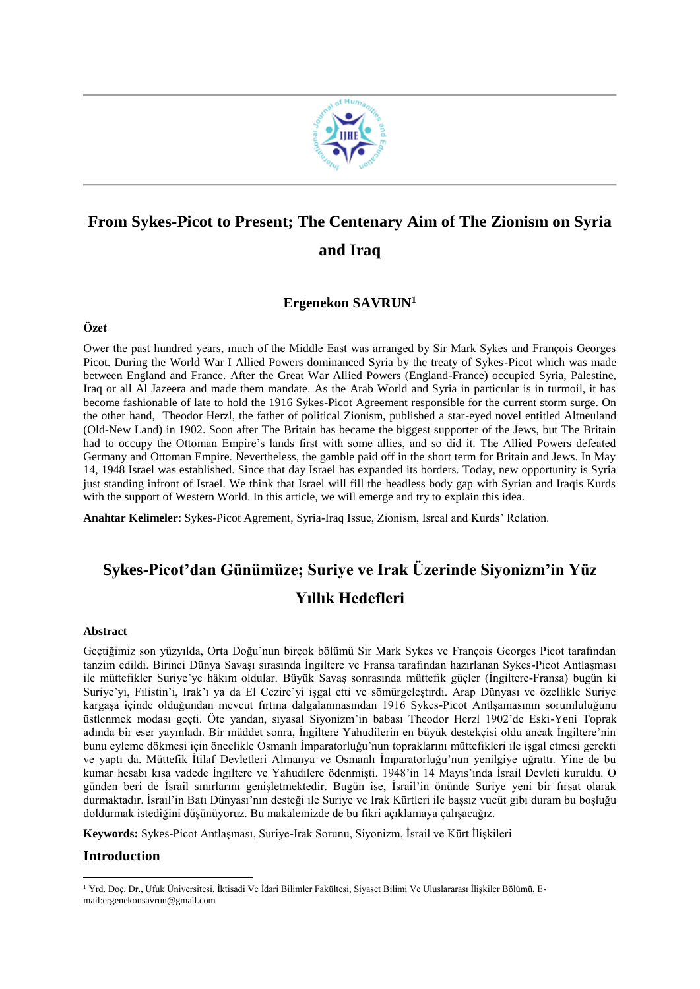

# **From Sykes-Picot to Present; The Centenary Aim of The Zionism on Syria and Iraq**

## **Ergenekon SAVRUN<sup>1</sup>**

## **Özet**

Ower the past hundred years, much of the Middle East was arranged by Sir Mark Sykes and François Georges Picot. During the World War I Allied Powers dominanced Syria by the treaty of Sykes-Picot which was made between England and France. After the Great War Allied Powers (England-France) occupied Syria, Palestine, Iraq or all Al Jazeera and made them mandate. As the Arab World and Syria in particular is in turmoil, it has become fashionable of late to hold the 1916 Sykes-Picot Agreement responsible for the current storm surge. On the other hand, Theodor Herzl, the father of political Zionism, published a star-eyed novel entitled Altneuland (Old-New Land) in 1902. Soon after The Britain has became the biggest supporter of the Jews, but The Britain had to occupy the Ottoman Empire's lands first with some allies, and so did it. The Allied Powers defeated Germany and Ottoman Empire. Nevertheless, the gamble paid off in the short term for Britain and Jews. In May 14, 1948 Israel was established. Since that day Israel has expanded its borders. Today, new opportunity is Syria just standing infront of Israel. We think that Israel will fill the headless body gap with Syrian and Iraqis Kurds with the support of Western World. In this article, we will emerge and try to explain this idea.

**Anahtar Kelimeler**: Sykes-Picot Agrement, Syria-Iraq Issue, Zionism, Isreal and Kurds' Relation.

# **Sykes-Picot'dan Günümüze; Suriye ve Irak Üzerinde Siyonizm'in Yüz Yıllık Hedefleri**

#### **Abstract**

Geçtiğimiz son yüzyılda, Orta Doğu'nun birçok bölümü Sir Mark Sykes ve François Georges Picot tarafından tanzim edildi. Birinci Dünya Savaşı sırasında İngiltere ve Fransa tarafından hazırlanan Sykes-Picot Antlaşması ile müttefikler Suriye'ye hâkim oldular. Büyük Savaş sonrasında müttefik güçler (İngiltere-Fransa) bugün ki Suriye'yi, Filistin'i, Irak'ı ya da El Cezire'yi işgal etti ve sömürgeleştirdi. Arap Dünyası ve özellikle Suriye kargaşa içinde olduğundan mevcut fırtına dalgalanmasından 1916 Sykes-Picot Antlşamasının sorumluluğunu üstlenmek modası geçti. Öte yandan, siyasal Siyonizm'in babası Theodor Herzl 1902'de Eski-Yeni Toprak adında bir eser yayınladı. Bir müddet sonra, İngiltere Yahudilerin en büyük destekçisi oldu ancak İngiltere'nin bunu eyleme dökmesi için öncelikle Osmanlı İmparatorluğu'nun topraklarını müttefikleri ile işgal etmesi gerekti ve yaptı da. Müttefik İtilaf Devletleri Almanya ve Osmanlı İmparatorluğu'nun yenilgiye uğrattı. Yine de bu kumar hesabı kısa vadede İngiltere ve Yahudilere ödenmişti. 1948'in 14 Mayıs'ında İsrail Devleti kuruldu. O günden beri de İsrail sınırlarını genişletmektedir. Bugün ise, İsrail'in önünde Suriye yeni bir fırsat olarak durmaktadır. İsrail'in Batı Dünyası'nın desteği ile Suriye ve Irak Kürtleri ile başsız vucüt gibi duram bu boşluğu doldurmak istediğini düşünüyoruz. Bu makalemizde de bu fikri açıklamaya çalışacağız.

**Keywords:** Sykes-Picot Antlaşması, Suriye-Irak Sorunu, Siyonizm, İsrail ve Kürt İlişkileri

# **Introduction**

 $\overline{a}$ 

<sup>1</sup> Yrd. Doç. Dr., Ufuk Üniversitesi, İktisadi Ve İdari Bilimler Fakültesi, Siyaset Bilimi Ve Uluslararası İlişkiler Bölümü, Emai[l:ergenekonsavrun@gmail.com](mailto:ergenekonsavrun@gmail.com)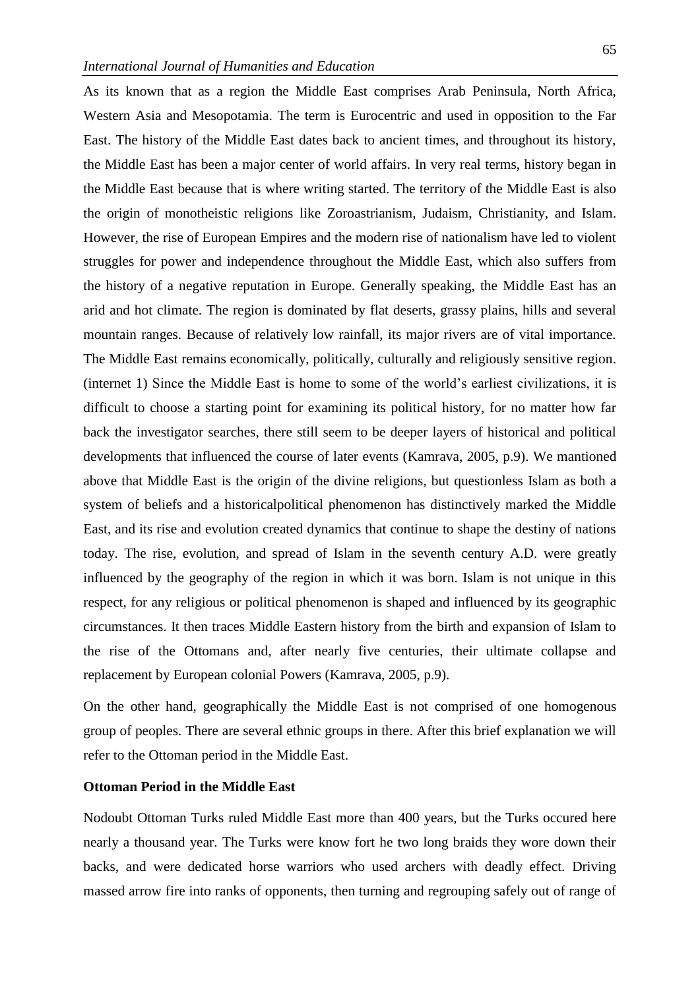As its known that as a region the Middle East comprises Arab Peninsula, North Africa, Western Asia and Mesopotamia. The term is Eurocentric and used in opposition to the Far East. The history of the Middle East dates back to ancient times, and throughout its history, the Middle East has been a major center of world affairs. In very real terms, history began in the Middle East because that is where writing started. The territory of the Middle East is also the origin of monotheistic religions like Zoroastrianism, Judaism, Christianity, and Islam. However, the rise of European Empires and the modern rise of nationalism have led to violent struggles for power and independence throughout the Middle East, which also suffers from the history of a negative reputation in Europe. Generally speaking, the Middle East has an arid and hot climate. The region is dominated by flat deserts, grassy plains, hills and several mountain ranges. Because of relatively low rainfall, its major rivers are of vital importance. The Middle East remains economically, politically, culturally and religiously sensitive region. (internet 1) Since the Middle East is home to some of the world's earliest civilizations, it is difficult to choose a starting point for examining its political history, for no matter how far back the investigator searches, there still seem to be deeper layers of historical and political developments that influenced the course of later events (Kamrava, 2005, p.9). We mantioned above that Middle East is the origin of the divine religions, but questionless Islam as both a system of beliefs and a historicalpolitical phenomenon has distinctively marked the Middle East, and its rise and evolution created dynamics that continue to shape the destiny of nations today. The rise, evolution, and spread of Islam in the seventh century A.D. were greatly influenced by the geography of the region in which it was born. Islam is not unique in this respect, for any religious or political phenomenon is shaped and influenced by its geographic circumstances. It then traces Middle Eastern history from the birth and expansion of Islam to the rise of the Ottomans and, after nearly five centuries, their ultimate collapse and replacement by European colonial Powers (Kamrava, 2005, p.9).

On the other hand, geographically the Middle East is not comprised of one homogenous group of peoples. There are several ethnic groups in there. After this brief explanation we will refer to the Ottoman period in the Middle East.

## **Ottoman Period in the Middle East**

Nodoubt Ottoman Turks ruled Middle East more than 400 years, but the Turks occured here nearly a thousand year. The Turks were know fort he two long braids they wore down their backs, and were dedicated horse warriors who used archers with deadly effect. Driving massed arrow fire into ranks of opponents, then turning and regrouping safely out of range of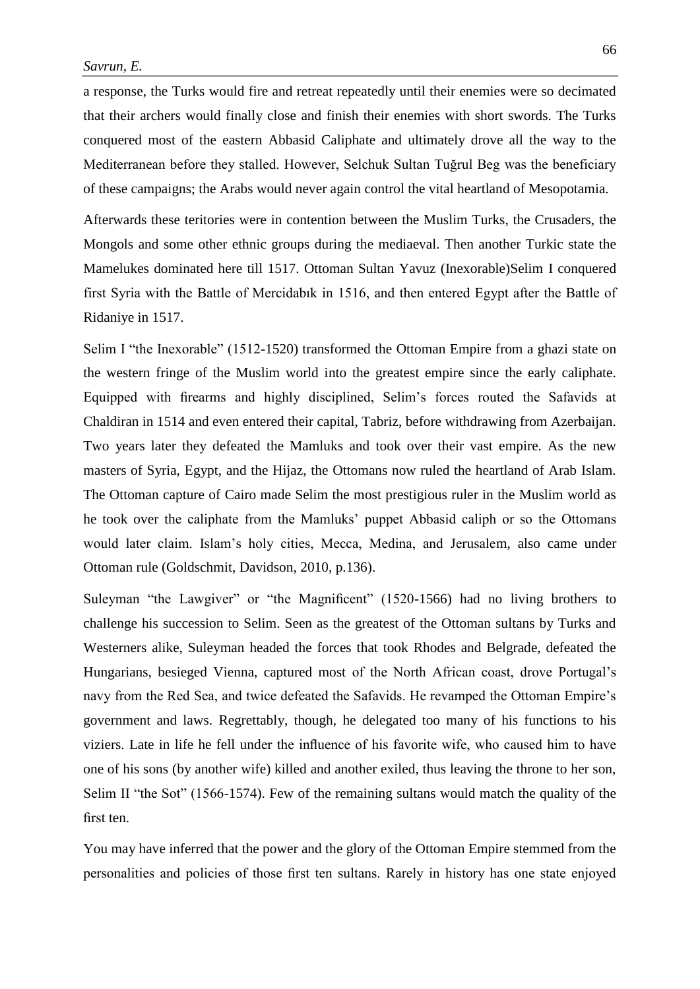a response, the Turks would fire and retreat repeatedly until their enemies were so decimated that their archers would finally close and finish their enemies with short swords. The Turks conquered most of the eastern Abbasid Caliphate and ultimately drove all the way to the Mediterranean before they stalled. However, Selchuk Sultan Tuğrul Beg was the beneficiary of these campaigns; the Arabs would never again control the vital heartland of Mesopotamia.

Afterwards these teritories were in contention between the Muslim Turks, the Crusaders, the Mongols and some other ethnic groups during the mediaeval. Then another Turkic state the Mamelukes dominated here till 1517. Ottoman Sultan Yavuz (Inexorable)Selim I conquered first Syria with the Battle of Mercidabık in 1516, and then entered Egypt after the Battle of Ridaniye in 1517.

Selim I "the Inexorable" (1512-1520) transformed the Ottoman Empire from a ghazi state on the western fringe of the Muslim world into the greatest empire since the early caliphate. Equipped with firearms and highly disciplined, Selim's forces routed the Safavids at Chaldiran in 1514 and even entered their capital, Tabriz, before withdrawing from Azerbaijan. Two years later they defeated the Mamluks and took over their vast empire. As the new masters of Syria, Egypt, and the Hijaz, the Ottomans now ruled the heartland of Arab Islam. The Ottoman capture of Cairo made Selim the most prestigious ruler in the Muslim world as he took over the caliphate from the Mamluks' puppet Abbasid caliph or so the Ottomans would later claim. Islam's holy cities, Mecca, Medina, and Jerusalem, also came under Ottoman rule (Goldschmit, Davidson, 2010, p.136).

Suleyman "the Lawgiver" or "the Magnificent" (1520-1566) had no living brothers to challenge his succession to Selim. Seen as the greatest of the Ottoman sultans by Turks and Westerners alike, Suleyman headed the forces that took Rhodes and Belgrade, defeated the Hungarians, besieged Vienna, captured most of the North African coast, drove Portugal's navy from the Red Sea, and twice defeated the Safavids. He revamped the Ottoman Empire's government and laws. Regrettably, though, he delegated too many of his functions to his viziers. Late in life he fell under the influence of his favorite wife, who caused him to have one of his sons (by another wife) killed and another exiled, thus leaving the throne to her son, Selim II "the Sot" (1566-1574). Few of the remaining sultans would match the quality of the first ten.

You may have inferred that the power and the glory of the Ottoman Empire stemmed from the personalities and policies of those first ten sultans. Rarely in history has one state enjoyed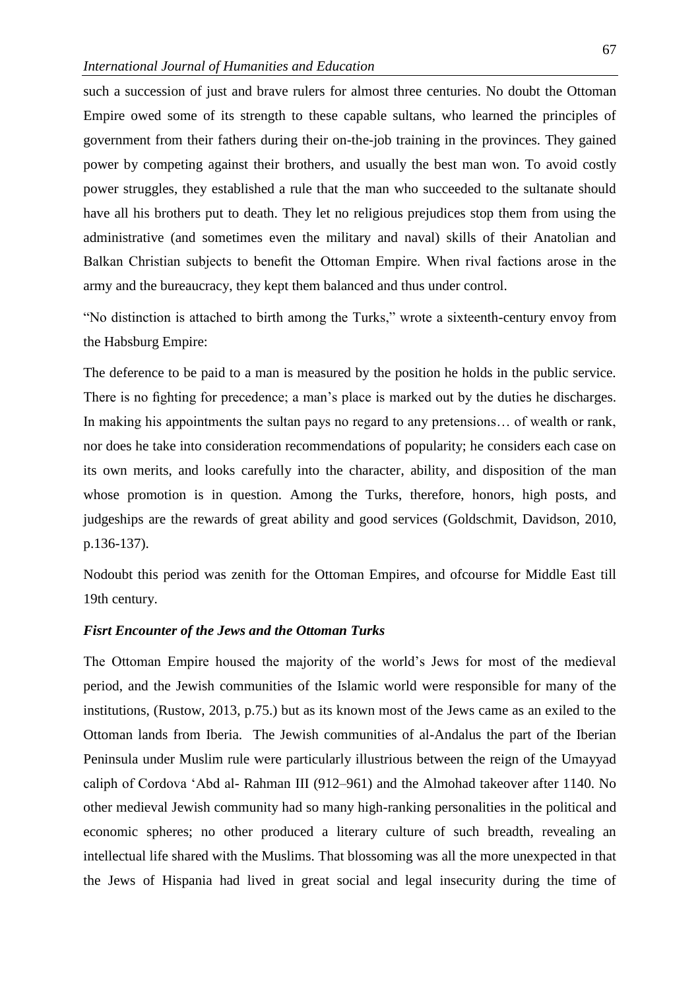such a succession of just and brave rulers for almost three centuries. No doubt the Ottoman Empire owed some of its strength to these capable sultans, who learned the principles of government from their fathers during their on-the-job training in the provinces. They gained power by competing against their brothers, and usually the best man won. To avoid costly power struggles, they established a rule that the man who succeeded to the sultanate should have all his brothers put to death. They let no religious prejudices stop them from using the administrative (and sometimes even the military and naval) skills of their Anatolian and Balkan Christian subjects to benefit the Ottoman Empire. When rival factions arose in the army and the bureaucracy, they kept them balanced and thus under control.

"No distinction is attached to birth among the Turks," wrote a sixteenth-century envoy from the Habsburg Empire:

The deference to be paid to a man is measured by the position he holds in the public service. There is no fighting for precedence; a man's place is marked out by the duties he discharges. In making his appointments the sultan pays no regard to any pretensions... of wealth or rank, nor does he take into consideration recommendations of popularity; he considers each case on its own merits, and looks carefully into the character, ability, and disposition of the man whose promotion is in question. Among the Turks, therefore, honors, high posts, and judgeships are the rewards of great ability and good services (Goldschmit, Davidson, 2010, p.136-137).

Nodoubt this period was zenith for the Ottoman Empires, and ofcourse for Middle East till 19th century.

### *Fisrt Encounter of the Jews and the Ottoman Turks*

The Ottoman Empire housed the majority of the world's Jews for most of the medieval period, and the Jewish communities of the Islamic world were responsible for many of the institutions, (Rustow, 2013, p.75.) but as its known most of the Jews came as an exiled to the Ottoman lands from Iberia. The Jewish communities of al-Andalus the part of the Iberian Peninsula under Muslim rule were particularly illustrious between the reign of the Umayyad caliph of Cordova 'Abd al- Rahman III (912–961) and the Almohad takeover after 1140. No other medieval Jewish community had so many high-ranking personalities in the political and economic spheres; no other produced a literary culture of such breadth, revealing an intellectual life shared with the Muslims. That blossoming was all the more unexpected in that the Jews of Hispania had lived in great social and legal insecurity during the time of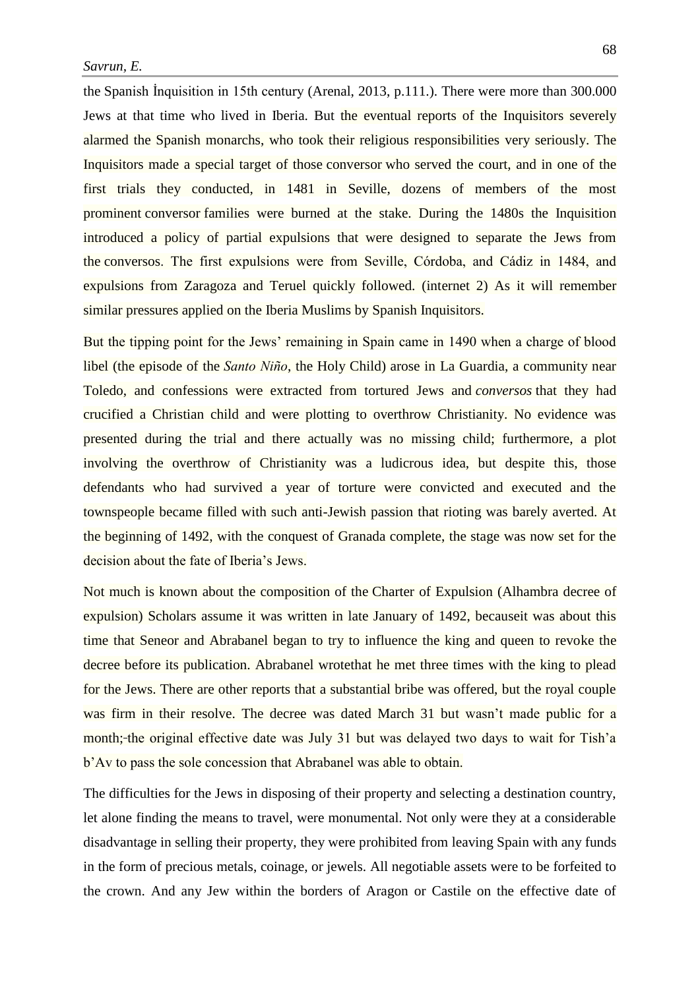the Spanish İnquisition in 15th century (Arenal, 2013, p.111.). There were more than 300.000 Jews at that time who lived in Iberia. But the eventual reports of the Inquisitors severely alarmed the Spanish monarchs, who took their religious responsibilities very seriously. The Inquisitors made a special target of those conversor who served the court, and in one of the first trials they conducted, in 1481 in Seville, dozens of members of the most prominent conversor families were burned at the stake. During the 1480s the Inquisition introduced a policy of partial expulsions that were designed to separate the Jews from the conversos. The first expulsions were from Seville, Córdoba, and Cádiz in 1484, and expulsions from Zaragoza and Teruel quickly followed. (internet 2) As it will remember similar pressures applied on the Iberia Muslims by Spanish Inquisitors.

But the tipping point for the Jews' remaining in Spain came in 1490 when a charge of blood libel (the episode of the *Santo Niño*, the Holy Child) arose in La Guardia, a community near Toledo, and confessions were extracted from tortured Jews and *conversos* that they had crucified a Christian child and were plotting to overthrow Christianity. No evidence was presented during the trial and there actually was no missing child; furthermore, a plot involving the overthrow of Christianity was a ludicrous idea, but despite this, those defendants who had survived a year of torture were convicted and executed and the townspeople became filled with such anti-Jewish passion that rioting was barely averted. At the beginning of 1492, with the conquest of Granada complete, the stage was now set for the decision about the fate of Iberia's Jews.

Not much is known about the composition of the [Charter of Expulsion](http://kehillatisrael.net/docs/learning/txt/s_decree.html) (Alhambra decree of expulsion) Scholars assume it was written in late January of 1492, becauseit was about this time that Seneor and Abrabanel began to try to influence the king and queen to revoke the decree before its publication. Abrabanel wrotethat he met three times with the king to plead for the Jews. There are other reports that a substantial bribe was offered, but the royal couple was firm in their resolve. The decree was dated March 31 but wasn't made public for a month; the original effective date was July 31 but was delayed two days to wait for Tish'a b'Av to pass the sole concession that Abrabanel was able to obtain.

The difficulties for the Jews in disposing of their property and selecting a destination country, let alone finding the means to travel, were monumental. Not only were they at a considerable disadvantage in selling their property, they were prohibited from leaving Spain with any funds in the form of precious metals, coinage, or jewels. All negotiable assets were to be forfeited to the crown. And any Jew within the borders of Aragon or Castile on the effective date of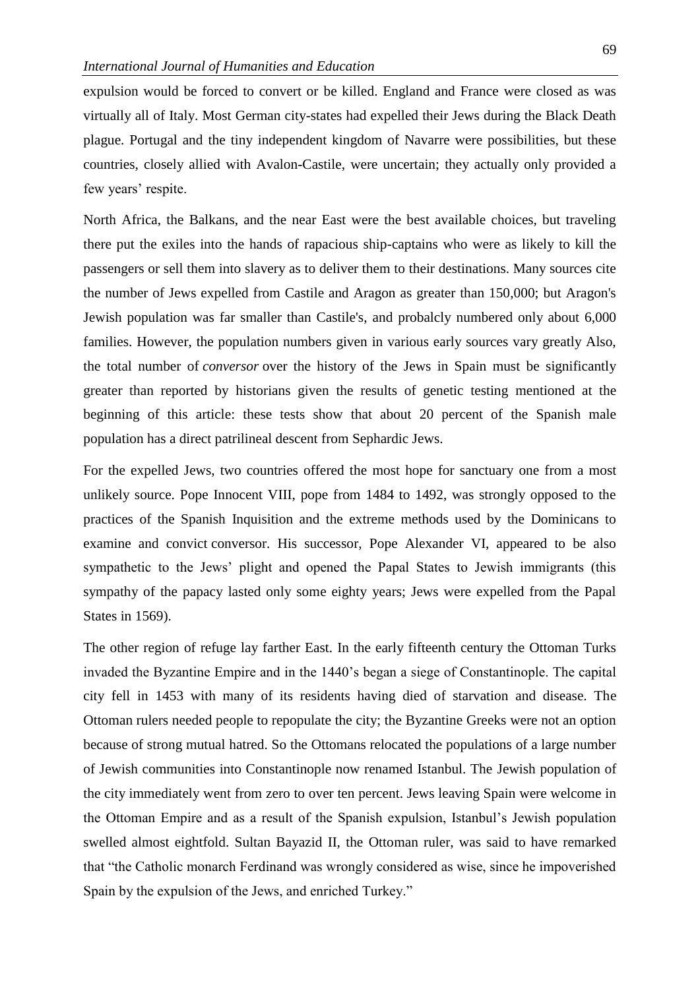expulsion would be forced to convert or be killed. England and France were closed as was virtually all of Italy. Most German city-states had expelled their Jews during the Black Death plague. Portugal and the tiny independent kingdom of Navarre were possibilities, but these countries, closely allied with Avalon-Castile, were uncertain; they actually only provided a few years' respite.

North Africa, the Balkans, and the near East were the best available choices, but traveling there put the exiles into the hands of rapacious ship-captains who were as likely to kill the passengers or sell them into slavery as to deliver them to their destinations. Many sources cite the number of Jews expelled from Castile and Aragon as greater than 150,000; but Aragon's Jewish population was far smaller than Castile's, and probalcly numbered only about 6,000 families. However, the population numbers given in various early sources vary greatly Also, the total number of *conversor* over the history of the Jews in Spain must be significantly greater than reported by historians given the results of genetic testing mentioned at the beginning of this article: these tests show that about 20 percent of the Spanish male population has a direct patrilineal descent from Sephardic Jews.

For the expelled Jews, two countries offered the most hope for sanctuary one from a most unlikely source. Pope Innocent VIII, pope from 1484 to 1492, was strongly opposed to the practices of the Spanish Inquisition and the extreme methods used by the Dominicans to examine and convict conversor. His successor, Pope Alexander VI, appeared to be also sympathetic to the Jews' plight and opened the Papal States to Jewish immigrants (this sympathy of the papacy lasted only some eighty years; Jews were expelled from the Papal States in 1569).

The other region of refuge lay farther East. In the early fifteenth century the Ottoman Turks invaded the Byzantine Empire and in the 1440's began a siege of Constantinople. The capital city fell in 1453 with many of its residents having died of starvation and disease. The Ottoman rulers needed people to repopulate the city; the Byzantine Greeks were not an option because of strong mutual hatred. So the Ottomans relocated the populations of a large number of Jewish communities into Constantinople now renamed Istanbul. The Jewish population of the city immediately went from zero to over ten percent. Jews leaving Spain were welcome in the Ottoman Empire and as a result of the Spanish expulsion, Istanbul's Jewish population swelled almost eightfold. Sultan Bayazid II, the Ottoman ruler, was said to have remarked that "the Catholic monarch Ferdinand was wrongly considered as wise, since he impoverished Spain by the expulsion of the Jews, and enriched Turkey."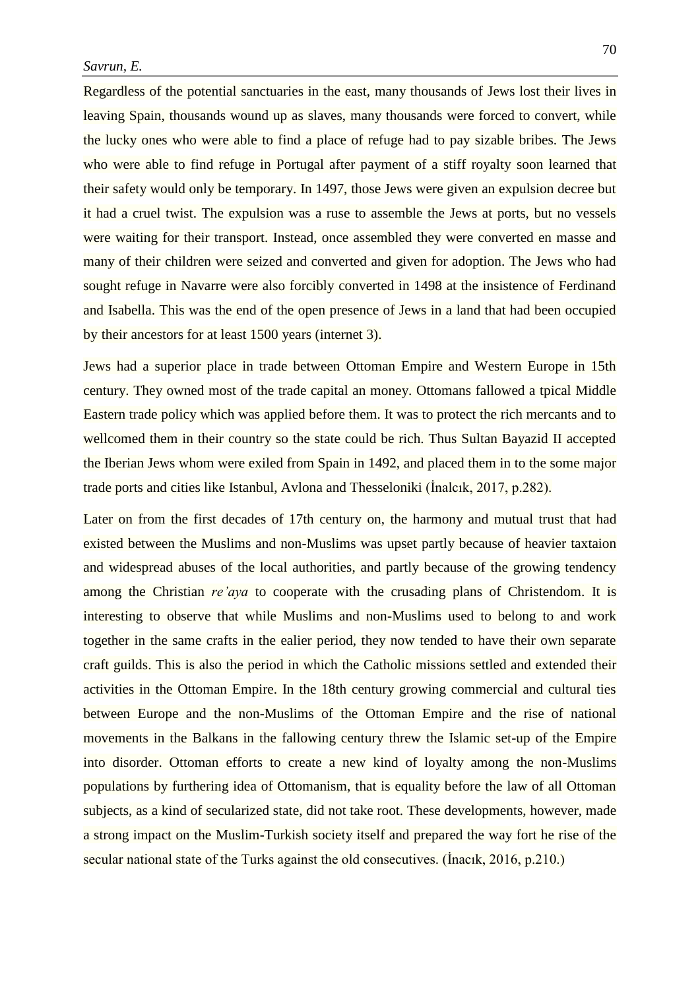Regardless of the potential sanctuaries in the east, many thousands of Jews lost their lives in leaving Spain, thousands wound up as slaves, many thousands were forced to convert, while the lucky ones who were able to find a place of refuge had to pay sizable bribes. The Jews who were able to find refuge in Portugal after payment of a stiff royalty soon learned that their safety would only be temporary. In 1497, those Jews were given an expulsion decree but it had a cruel twist. The expulsion was a ruse to assemble the Jews at ports, but no vessels were waiting for their transport. Instead, once assembled they were converted en masse and many of their children were seized and converted and given for adoption. The Jews who had sought refuge in Navarre were also forcibly converted in 1498 at the insistence of Ferdinand and Isabella. This was the end of the open presence of Jews in a land that had been occupied by their ancestors for at least 1500 years (internet 3).

Jews had a superior place in trade between Ottoman Empire and Western Europe in 15th century. They owned most of the trade capital an money. Ottomans fallowed a tpical Middle Eastern trade policy which was applied before them. It was to protect the rich mercants and to wellcomed them in their country so the state could be rich. Thus Sultan Bayazid II accepted the Iberian Jews whom were exiled from Spain in 1492, and placed them in to the some major trade ports and cities like Istanbul, Avlona and Thesseloniki (İnalcık, 2017, p.282).

Later on from the first decades of 17th century on, the harmony and mutual trust that had existed between the Muslims and non-Muslims was upset partly because of heavier taxtaion and widespread abuses of the local authorities, and partly because of the growing tendency among the Christian *re'aya* to cooperate with the crusading plans of Christendom. It is interesting to observe that while Muslims and non-Muslims used to belong to and work together in the same crafts in the ealier period, they now tended to have their own separate craft guilds. This is also the period in which the Catholic missions settled and extended their activities in the Ottoman Empire. In the 18th century growing commercial and cultural ties between Europe and the non-Muslims of the Ottoman Empire and the rise of national movements in the Balkans in the fallowing century threw the Islamic set-up of the Empire into disorder. Ottoman efforts to create a new kind of loyalty among the non-Muslims populations by furthering idea of Ottomanism, that is equality before the law of all Ottoman subjects, as a kind of secularized state, did not take root. These developments, however, made a strong impact on the Muslim-Turkish society itself and prepared the way fort he rise of the secular national state of the Turks against the old consecutives. (İnacık, 2016, p.210.)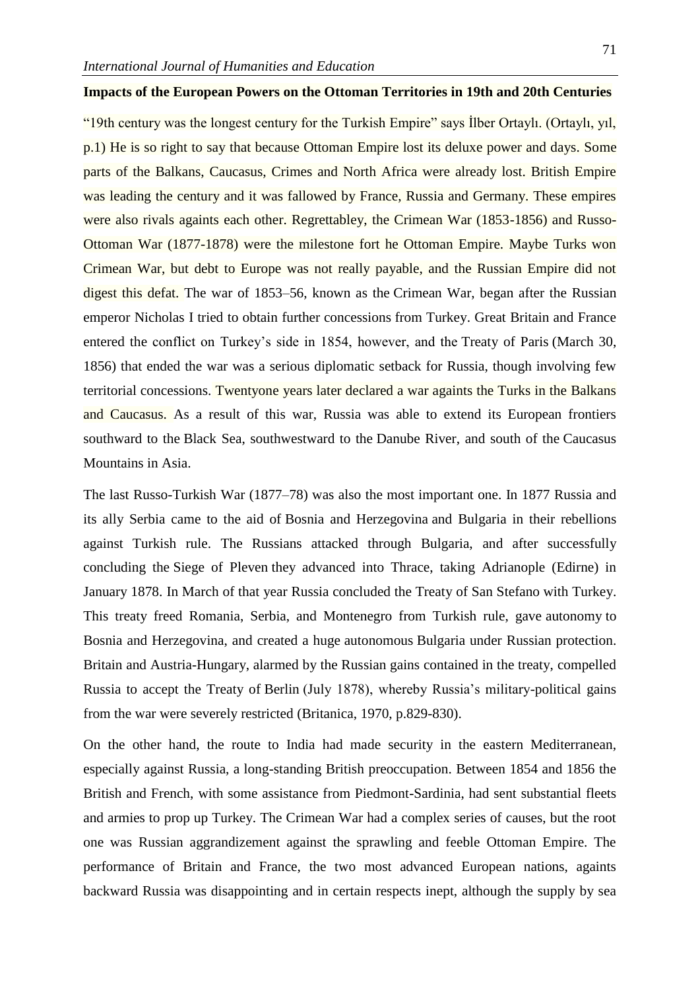#### **Impacts of the European Powers on the Ottoman Territories in 19th and 20th Centuries**

"19th century was the longest century for the Turkish Empire" says İlber Ortaylı. (Ortaylı, yıl, p.1) He is so right to say that because Ottoman Empire lost its deluxe power and days. Some parts of the Balkans, Caucasus, Crimes and North Africa were already lost. British Empire was leading the century and it was fallowed by France, Russia and Germany. These empires were also rivals againts each other. Regrettabley, the Crimean War (1853-1856) and Russo-Ottoman War (1877-1878) were the milestone fort he Ottoman Empire. Maybe Turks won Crimean War, but debt to Europe was not really payable, and the Russian Empire did not digest this defat. The war of 1853–56, known as the [Crimean](https://www.britannica.com/event/Crimean-War) War, began after the Russian emperor Nicholas I tried to obtain further [concessions](https://www.merriam-webster.com/dictionary/concessions) from Turkey. Great Britain and France entered the conflict on Turkey's side in 1854, however, and the [Treaty](https://www.britannica.com/event/Treaty-of-Paris-1856) of Paris (March 30, 1856) that ended the war was a serious diplomatic setback for Russia, though involving few territorial concessions. Twentyone years later declared a war againts the Turks in the Balkans and Caucasus. As a result of this war, Russia was able to extend its European frontiers southward to the [Black](https://www.britannica.com/place/Black-Sea) Sea, southwestward to the [Danube](https://www.britannica.com/place/Prut-River) River, and south of the [Caucasus](https://www.britannica.com/place/Caucasus) [Mountains](https://www.britannica.com/place/Caucasus) in Asia.

The last Russo-Turkish War (1877–78) was also the most important one. In 1877 Russia and its ally Serbia came to the aid of Bosnia and [Herzegovina](https://www.britannica.com/place/Bosnia-and-Herzegovina) and Bulgaria in their rebellions against Turkish rule. The Russians attacked through Bulgaria, and after successfully concluding the Siege of [Pleven](https://www.britannica.com/event/Siege-of-Pleven) they advanced into Thrace, taking Adrianople (Edirne) in January 1878. In March of that year Russia concluded the Treaty of San [Stefano](https://www.britannica.com/event/Treaty-of-San-Stefano) with Turkey. This treaty freed Romania, Serbia, and Montenegro from Turkish rule, gave [autonomy](https://www.merriam-webster.com/dictionary/autonomy) to Bosnia and Herzegovina, and created a huge [autonomous](https://www.merriam-webster.com/dictionary/autonomous) Bulgaria under Russian protection. Britain and Austria-Hungary, alarmed by the Russian gains contained in the treaty, compelled Russia to accept the Treaty of [Berlin](https://www.britannica.com/event/Congress-of-Berlin) (July 1878), whereby Russia's military-political gains from the war were severely restricted (Britanica, 1970, p.829-830).

On the other hand, the route to India had made security in the eastern Mediterranean, especially against Russia, a long-standing British preoccupation. Between 1854 and 1856 the British and French, with some assistance from Piedmont-Sardinia, had sent substantial fleets and armies to prop up Turkey. The Crimean War had a complex series of causes, but the root one was Russian aggrandizement against the sprawling and feeble Ottoman Empire. The performance of Britain and France, the two most advanced European nations, againts backward Russia was disappointing and in certain respects inept, although the supply by sea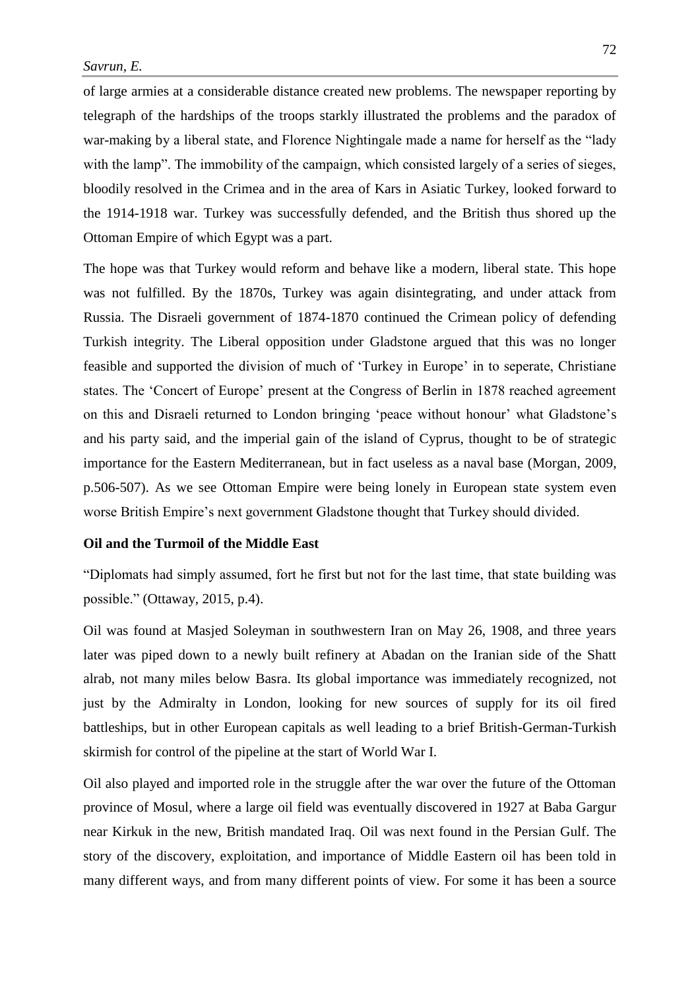of large armies at a considerable distance created new problems. The newspaper reporting by telegraph of the hardships of the troops starkly illustrated the problems and the paradox of war-making by a liberal state, and Florence Nightingale made a name for herself as the "lady with the lamp". The immobility of the campaign, which consisted largely of a series of sieges, bloodily resolved in the Crimea and in the area of Kars in Asiatic Turkey, looked forward to the 1914-1918 war. Turkey was successfully defended, and the British thus shored up the Ottoman Empire of which Egypt was a part.

The hope was that Turkey would reform and behave like a modern, liberal state. This hope was not fulfilled. By the 1870s, Turkey was again disintegrating, and under attack from Russia. The Disraeli government of 1874-1870 continued the Crimean policy of defending Turkish integrity. The Liberal opposition under Gladstone argued that this was no longer feasible and supported the division of much of 'Turkey in Europe' in to seperate, Christiane states. The 'Concert of Europe' present at the Congress of Berlin in 1878 reached agreement on this and Disraeli returned to London bringing 'peace without honour' what Gladstone's and his party said, and the imperial gain of the island of Cyprus, thought to be of strategic importance for the Eastern Mediterranean, but in fact useless as a naval base (Morgan, 2009, p.506-507). As we see Ottoman Empire were being lonely in European state system even worse British Empire's next government Gladstone thought that Turkey should divided.

### **Oil and the Turmoil of the Middle East**

"Diplomats had simply assumed, fort he first but not for the last time, that state building was possible." (Ottaway, 2015, p.4).

Oil was found at Masjed Soleyman in southwestern Iran on May 26, 1908, and three years later was piped down to a newly built refinery at Abadan on the Iranian side of the Shatt alrab, not many miles below Basra. Its global importance was immediately recognized, not just by the Admiralty in London, looking for new sources of supply for its oil fired battleships, but in other European capitals as well leading to a brief British-German-Turkish skirmish for control of the pipeline at the start of World War I.

Oil also played and imported role in the struggle after the war over the future of the Ottoman province of Mosul, where a large oil field was eventually discovered in 1927 at Baba Gargur near Kirkuk in the new, British mandated Iraq. Oil was next found in the Persian Gulf. The story of the discovery, exploitation, and importance of Middle Eastern oil has been told in many different ways, and from many different points of view. For some it has been a source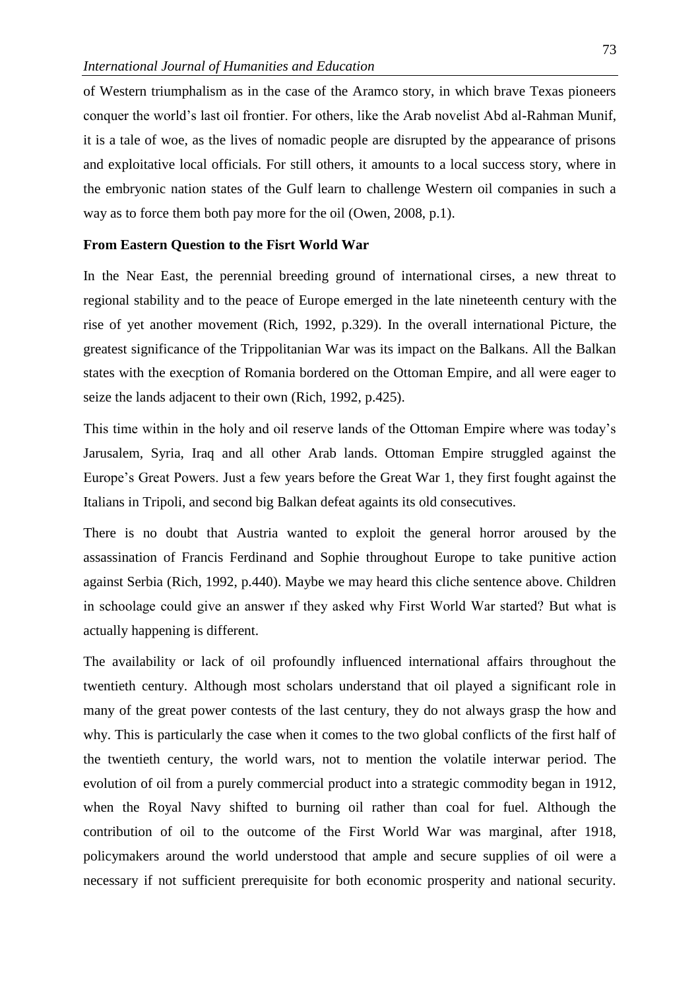of Western triumphalism as in the case of the Aramco story, in which brave Texas pioneers conquer the world's last oil frontier. For others, like the Arab novelist Abd al-Rahman Munif, it is a tale of woe, as the lives of nomadic people are disrupted by the appearance of prisons and exploitative local officials. For still others, it amounts to a local success story, where in the embryonic nation states of the Gulf learn to challenge Western oil companies in such a way as to force them both pay more for the oil (Owen, 2008, p.1).

### **From Eastern Question to the Fisrt World War**

In the Near East, the perennial breeding ground of international cirses, a new threat to regional stability and to the peace of Europe emerged in the late nineteenth century with the rise of yet another movement (Rich, 1992, p.329). In the overall international Picture, the greatest significance of the Trippolitanian War was its impact on the Balkans. All the Balkan states with the execption of Romania bordered on the Ottoman Empire, and all were eager to seize the lands adjacent to their own (Rich, 1992, p.425).

This time within in the holy and oil reserve lands of the Ottoman Empire where was today's Jarusalem, Syria, Iraq and all other Arab lands. Ottoman Empire struggled against the Europe's Great Powers. Just a few years before the Great War 1, they first fought against the Italians in Tripoli, and second big Balkan defeat againts its old consecutives.

There is no doubt that Austria wanted to exploit the general horror aroused by the assassination of Francis Ferdinand and Sophie throughout Europe to take punitive action against Serbia (Rich, 1992, p.440). Maybe we may heard this cliche sentence above. Children in schoolage could give an answer ıf they asked why First World War started? But what is actually happening is different.

The availability or lack of oil profoundly influenced international affairs throughout the twentieth century. Although most scholars understand that oil played a significant role in many of the great power contests of the last century, they do not always grasp the how and why. This is particularly the case when it comes to the two global conflicts of the first half of the twentieth century, the world wars, not to mention the volatile interwar period. The evolution of oil from a purely commercial product into a strategic commodity began in 1912, when the Royal Navy shifted to burning oil rather than coal for fuel. Although the contribution of oil to the outcome of the First World War was marginal, after 1918, policymakers around the world understood that ample and secure supplies of oil were a necessary if not sufficient prerequisite for both economic prosperity and national security.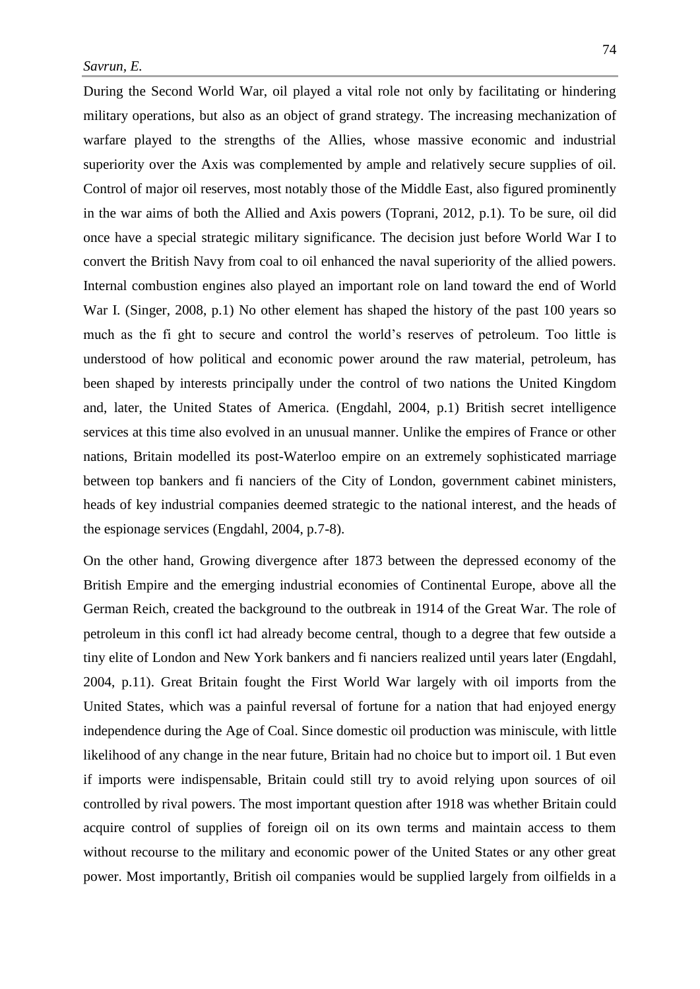During the Second World War, oil played a vital role not only by facilitating or hindering military operations, but also as an object of grand strategy. The increasing mechanization of warfare played to the strengths of the Allies, whose massive economic and industrial superiority over the Axis was complemented by ample and relatively secure supplies of oil. Control of major oil reserves, most notably those of the Middle East, also figured prominently in the war aims of both the Allied and Axis powers (Toprani, 2012, p.1). To be sure, oil did once have a special strategic military significance. The decision just before World War I to convert the British Navy from coal to oil enhanced the naval superiority of the allied powers. Internal combustion engines also played an important role on land toward the end of World War I. (Singer, 2008, p.1) No other element has shaped the history of the past 100 years so much as the fi ght to secure and control the world's reserves of petroleum. Too little is understood of how political and economic power around the raw material, petroleum, has been shaped by interests principally under the control of two nations the United Kingdom and, later, the United States of America. (Engdahl, 2004, p.1) British secret intelligence services at this time also evolved in an unusual manner. Unlike the empires of France or other nations, Britain modelled its post-Waterloo empire on an extremely sophisticated marriage between top bankers and fi nanciers of the City of London, government cabinet ministers, heads of key industrial companies deemed strategic to the national interest, and the heads of the espionage services (Engdahl, 2004, p.7-8).

On the other hand, Growing divergence after 1873 between the depressed economy of the British Empire and the emerging industrial economies of Continental Europe, above all the German Reich, created the background to the outbreak in 1914 of the Great War. The role of petroleum in this confl ict had already become central, though to a degree that few outside a tiny elite of London and New York bankers and fi nanciers realized until years later (Engdahl, 2004, p.11). Great Britain fought the First World War largely with oil imports from the United States, which was a painful reversal of fortune for a nation that had enjoyed energy independence during the Age of Coal. Since domestic oil production was miniscule, with little likelihood of any change in the near future, Britain had no choice but to import oil. 1 But even if imports were indispensable, Britain could still try to avoid relying upon sources of oil controlled by rival powers. The most important question after 1918 was whether Britain could acquire control of supplies of foreign oil on its own terms and maintain access to them without recourse to the military and economic power of the United States or any other great power. Most importantly, British oil companies would be supplied largely from oilfields in a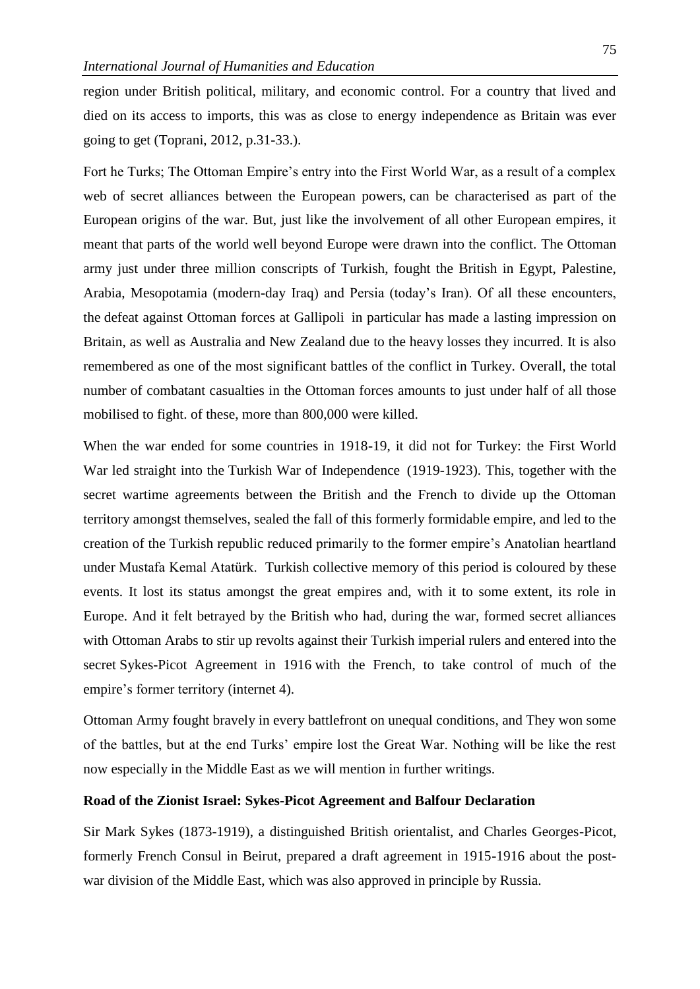region under British political, military, and economic control. For a country that lived and died on its access to imports, this was as close to energy independence as Britain was ever going to get (Toprani, 2012, p.31-33.).

Fort he Turks; The Ottoman Empire's entry into the First World War, as a result of a complex web of secret alliances between the European powers, can be characterised as part of the European origins of the war. But, just like the involvement of all other European empires, it meant that parts of the world well beyond Europe were drawn into the conflict. The Ottoman army just under three million conscripts of Turkish, fought the British in Egypt, Palestine, Arabia, Mesopotamia (modern-day Iraq) and Persia (today's Iran). Of all these encounters, the [defeat against Ottoman forces at Gallipoli](http://www.bbc.co.uk/history/worldwars/wwone/battle_gallipoli.shtml) in particular has made a lasting impression on Britain, as well as Australia and New Zealand due to the heavy losses they incurred. It is also remembered as one of the most significant battles of the conflict in Turkey. Overall, the total number of combatant casualties in the Ottoman forces amounts to just under half of all those mobilised to fight. of these, more than 800,000 were killed.

When the war ended for some countries in 1918-19, it did not for Turkey: the First World War led straight into the [Turkish War of Independence](http://en.wikipedia.org/wiki/Turkish_War_of_Independence) (1919-1923). This, together with the secret wartime agreements between the British and the French to divide up the Ottoman territory amongst themselves, sealed the fall of this formerly formidable empire, and led to the creation of the Turkish republic reduced primarily to the former empire's Anatolian heartland under Mustafa Kemal Atatürk. [Turkish collective memory of this period is coloured by these](http://en.wikipedia.org/wiki/Mustafa_Kemal_Atat%C3%BCrk)  [events. It lost its status amongst the great empires and, with it to some extent, its role in](http://en.wikipedia.org/wiki/Mustafa_Kemal_Atat%C3%BCrk)  [Europe. And it felt betrayed by the British who had, during the war, formed secret alliances](http://en.wikipedia.org/wiki/Mustafa_Kemal_Atat%C3%BCrk)  [with Ottoman Arabs to stir up revolts against their Turkish imperial rulers and entered into the](http://en.wikipedia.org/wiki/Mustafa_Kemal_Atat%C3%BCrk)  secret [Sykes-Picot Agreement](http://en.wikipedia.org/wiki/Mustafa_Kemal_Atat%C3%BCrk) in 1916 [with the French, to take control of much of the](http://en.wikipedia.org/wiki/Mustafa_Kemal_Atat%C3%BCrk)  [empire's former territory](http://en.wikipedia.org/wiki/Mustafa_Kemal_Atat%C3%BCrk) (internet 4).

Ottoman Army fought bravely in every battlefront on unequal conditions, and They won some of the battles, but at the end Turks' empire lost the Great War. Nothing will be like the rest now especially in the Middle East as we will mention in further writings.

# **Road of the Zionist Israel: Sykes-Picot Agreement and Balfour Declaration**

Sir Mark Sykes (1873-1919), a distinguished British orientalist, and Charles Georges-Picot, formerly French Consul in Beirut, prepared a draft agreement in 1915-1916 about the postwar division of the Middle East, which was also approved in principle by Russia.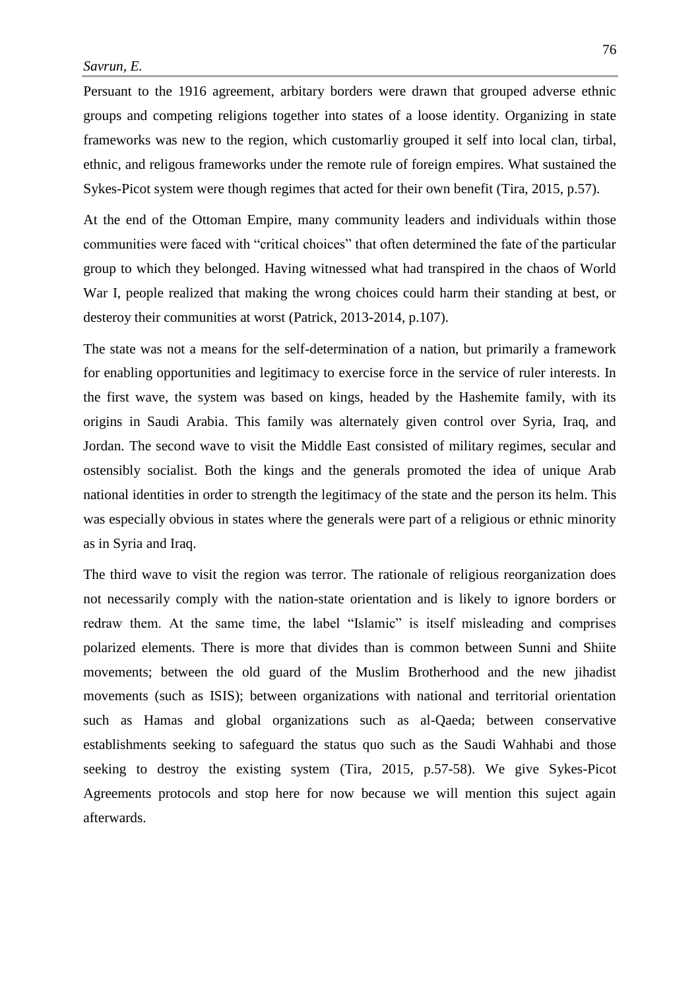Persuant to the 1916 agreement, arbitary borders were drawn that grouped adverse ethnic groups and competing religions together into states of a loose identity. Organizing in state frameworks was new to the region, which customarliy grouped it self into local clan, tirbal, ethnic, and religous frameworks under the remote rule of foreign empires. What sustained the Sykes-Picot system were though regimes that acted for their own benefit (Tira, 2015, p.57).

At the end of the Ottoman Empire, many community leaders and individuals within those communities were faced with "critical choices" that often determined the fate of the particular group to which they belonged. Having witnessed what had transpired in the chaos of World War I, people realized that making the wrong choices could harm their standing at best, or desteroy their communities at worst (Patrick, 2013-2014, p.107).

The state was not a means for the self-determination of a nation, but primarily a framework for enabling opportunities and legitimacy to exercise force in the service of ruler interests. In the first wave, the system was based on kings, headed by the Hashemite family, with its origins in Saudi Arabia. This family was alternately given control over Syria, Iraq, and Jordan. The second wave to visit the Middle East consisted of military regimes, secular and ostensibly socialist. Both the kings and the generals promoted the idea of unique Arab national identities in order to strength the legitimacy of the state and the person its helm. This was especially obvious in states where the generals were part of a religious or ethnic minority as in Syria and Iraq.

The third wave to visit the region was terror. The rationale of religious reorganization does not necessarily comply with the nation-state orientation and is likely to ignore borders or redraw them. At the same time, the label "Islamic" is itself misleading and comprises polarized elements. There is more that divides than is common between Sunni and Shiite movements; between the old guard of the Muslim Brotherhood and the new jihadist movements (such as ISIS); between organizations with national and territorial orientation such as Hamas and global organizations such as al-Qaeda; between conservative establishments seeking to safeguard the status quo such as the Saudi Wahhabi and those seeking to destroy the existing system (Tira, 2015, p.57-58). We give Sykes-Picot Agreements protocols and stop here for now because we will mention this suject again afterwards.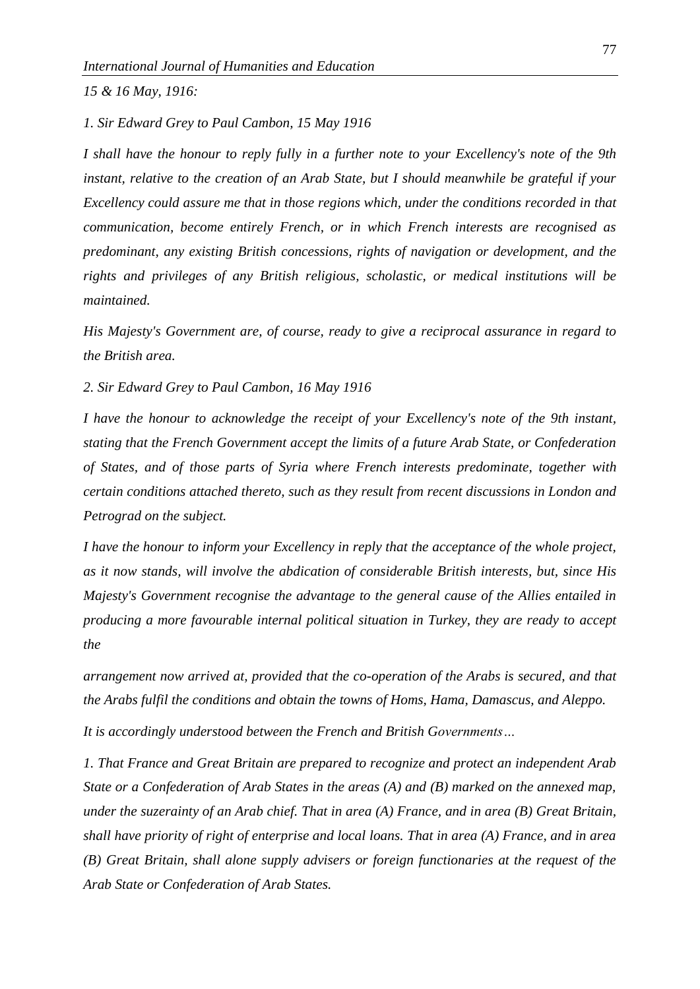*15 & 16 May, 1916:* 

#### *1. Sir Edward Grey to Paul Cambon, 15 May 1916*

*I shall have the honour to reply fully in a further note to your Excellency's note of the 9th instant, relative to the creation of an Arab State, but I should meanwhile be grateful if your Excellency could assure me that in those regions which, under the conditions recorded in that communication, become entirely French, or in which French interests are recognised as predominant, any existing British concessions, rights of navigation or development, and the rights and privileges of any British religious, scholastic, or medical institutions will be maintained.*

*His Majesty's Government are, of course, ready to give a reciprocal assurance in regard to the British area.* 

*2. Sir Edward Grey to Paul Cambon, 16 May 1916* 

*I have the honour to acknowledge the receipt of your Excellency's note of the 9th instant, stating that the French Government accept the limits of a future Arab State, or Confederation of States, and of those parts of Syria where French interests predominate, together with certain conditions attached thereto, such as they result from recent discussions in London and Petrograd on the subject.* 

*I have the honour to inform your Excellency in reply that the acceptance of the whole project, as it now stands, will involve the abdication of considerable British interests, but, since His Majesty's Government recognise the advantage to the general cause of the Allies entailed in producing a more favourable internal political situation in Turkey, they are ready to accept the* 

*arrangement now arrived at, provided that the co-operation of the Arabs is secured, and that the Arabs fulfil the conditions and obtain the towns of Homs, Hama, Damascus, and Aleppo.*

*It is accordingly understood between the French and British Governments…*

*1. That France and Great Britain are prepared to recognize and protect an independent Arab State or a Confederation of Arab States in the areas (A) and (B) marked on the annexed map, under the suzerainty of an Arab chief. That in area (A) France, and in area (B) Great Britain, shall have priority of right of enterprise and local loans. That in area (A) France, and in area (B) Great Britain, shall alone supply advisers or foreign functionaries at the request of the Arab State or Confederation of Arab States.*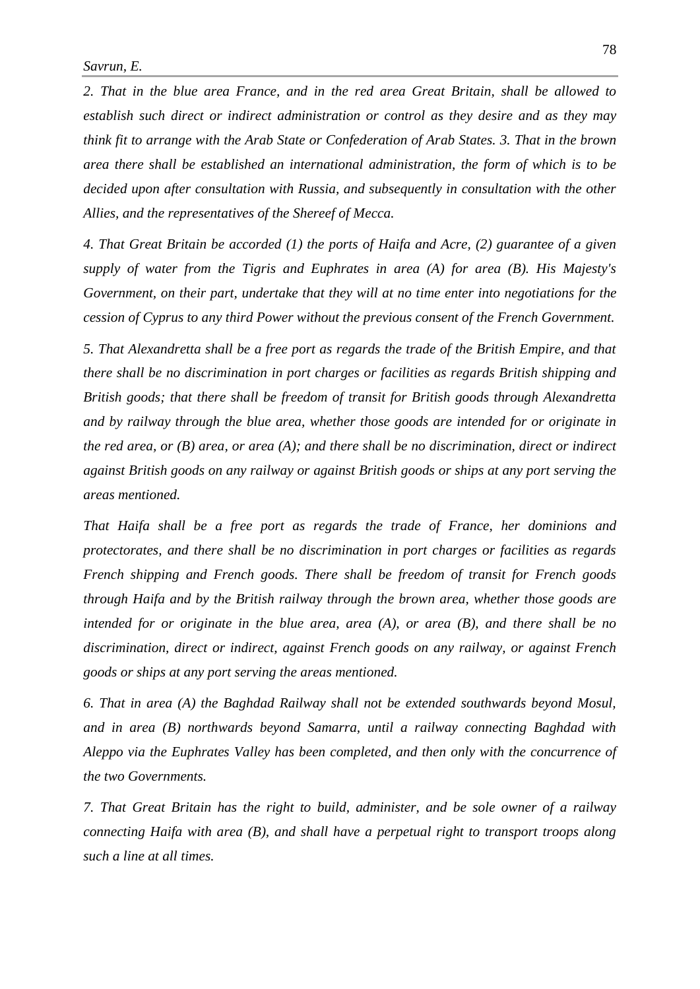*2. That in the blue area France, and in the red area Great Britain, shall be allowed to establish such direct or indirect administration or control as they desire and as they may think fit to arrange with the Arab State or Confederation of Arab States. 3. That in the brown area there shall be established an international administration, the form of which is to be decided upon after consultation with Russia, and subsequently in consultation with the other Allies, and the representatives of the Shereef of Mecca.* 

*4. That Great Britain be accorded (1) the ports of Haifa and Acre, (2) guarantee of a given supply of water from the Tigris and Euphrates in area (A) for area (B). His Majesty's Government, on their part, undertake that they will at no time enter into negotiations for the cession of Cyprus to any third Power without the previous consent of the French Government.* 

*5. That Alexandretta shall be a free port as regards the trade of the British Empire, and that there shall be no discrimination in port charges or facilities as regards British shipping and British goods; that there shall be freedom of transit for British goods through Alexandretta and by railway through the blue area, whether those goods are intended for or originate in the red area, or (B) area, or area (A); and there shall be no discrimination, direct or indirect against British goods on any railway or against British goods or ships at any port serving the areas mentioned.* 

*That Haifa shall be a free port as regards the trade of France, her dominions and protectorates, and there shall be no discrimination in port charges or facilities as regards French shipping and French goods. There shall be freedom of transit for French goods through Haifa and by the British railway through the brown area, whether those goods are intended for or originate in the blue area, area (A), or area (B), and there shall be no discrimination, direct or indirect, against French goods on any railway, or against French goods or ships at any port serving the areas mentioned.* 

*6. That in area (A) the Baghdad Railway shall not be extended southwards beyond Mosul, and in area (B) northwards beyond Samarra, until a railway connecting Baghdad with Aleppo via the Euphrates Valley has been completed, and then only with the concurrence of the two Governments.* 

*7. That Great Britain has the right to build, administer, and be sole owner of a railway connecting Haifa with area (B), and shall have a perpetual right to transport troops along such a line at all times.*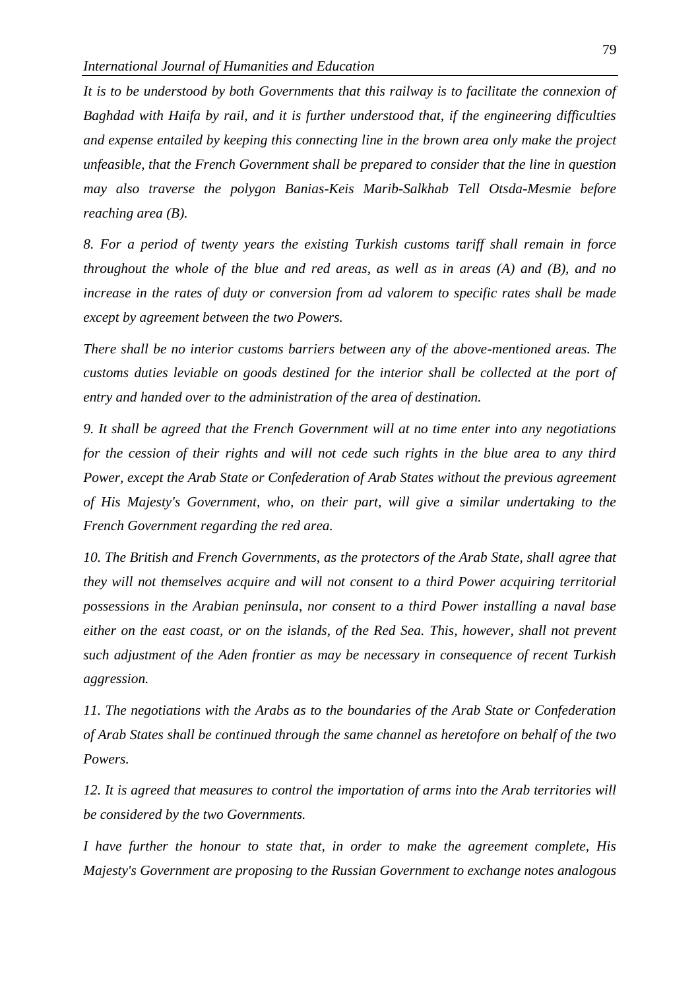*It is to be understood by both Governments that this railway is to facilitate the connexion of Baghdad with Haifa by rail, and it is further understood that, if the engineering difficulties and expense entailed by keeping this connecting line in the brown area only make the project unfeasible, that the French Government shall be prepared to consider that the line in question may also traverse the polygon Banias-Keis Marib-Salkhab Tell Otsda-Mesmie before reaching area (B).* 

*8. For a period of twenty years the existing Turkish customs tariff shall remain in force throughout the whole of the blue and red areas, as well as in areas (A) and (B), and no increase in the rates of duty or conversion from ad valorem to specific rates shall be made except by agreement between the two Powers.* 

*There shall be no interior customs barriers between any of the above-mentioned areas. The customs duties leviable on goods destined for the interior shall be collected at the port of entry and handed over to the administration of the area of destination.* 

*9. It shall be agreed that the French Government will at no time enter into any negotiations*  for the cession of their rights and will not cede such rights in the blue area to any third *Power, except the Arab State or Confederation of Arab States without the previous agreement of His Majesty's Government, who, on their part, will give a similar undertaking to the French Government regarding the red area.* 

*10. The British and French Governments, as the protectors of the Arab State, shall agree that they will not themselves acquire and will not consent to a third Power acquiring territorial possessions in the Arabian peninsula, nor consent to a third Power installing a naval base either on the east coast, or on the islands, of the Red Sea. This, however, shall not prevent such adjustment of the Aden frontier as may be necessary in consequence of recent Turkish aggression.* 

*11. The negotiations with the Arabs as to the boundaries of the Arab State or Confederation of Arab States shall be continued through the same channel as heretofore on behalf of the two Powers.* 

*12. It is agreed that measures to control the importation of arms into the Arab territories will be considered by the two Governments.* 

*I have further the honour to state that, in order to make the agreement complete, His Majesty's Government are proposing to the Russian Government to exchange notes analogous*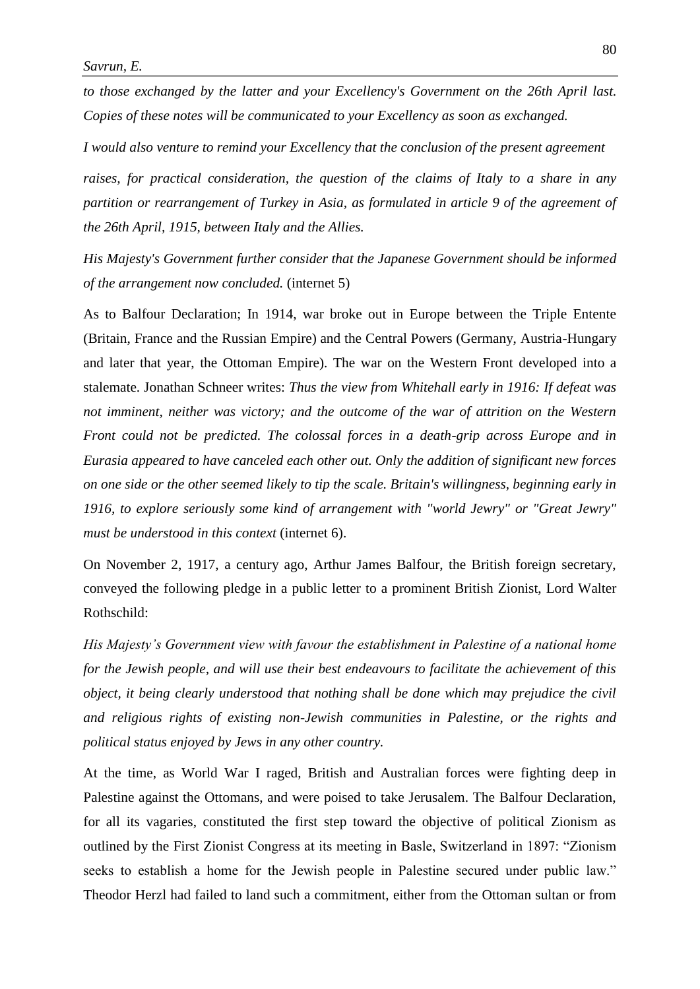*to those exchanged by the latter and your Excellency's Government on the 26th April last. Copies of these notes will be communicated to your Excellency as soon as exchanged.* 

*I would also venture to remind your Excellency that the conclusion of the present agreement raises, for practical consideration, the question of the claims of Italy to a share in any partition or rearrangement of Turkey in Asia, as formulated in article 9 of the agreement of the 26th April, 1915, between Italy and the Allies.* 

*His Majesty's Government further consider that the Japanese Government should be informed of the arrangement now concluded.* (internet 5)

As to Balfour Declaration; In 1914, war broke out in Europe between the Triple Entente (Britain, France and the Russian Empire) and the Central Powers (Germany, Austria-Hungary and later that year, the Ottoman Empire). The war on the Western Front developed into a stalemate. Jonathan Schneer writes: *Thus the view from Whitehall early in 1916: If defeat was not imminent, neither was victory; and the outcome of the war of attrition on the Western Front could not be predicted. The colossal forces in a death-grip across Europe and in Eurasia appeared to have canceled each other out. Only the addition of significant new forces on one side or the other seemed likely to tip the scale. Britain's willingness, beginning early in 1916, to explore seriously some kind of arrangement with "world Jewry" or "Great Jewry" must be understood in this context* (internet 6).

On November 2, 1917, a century ago, Arthur James Balfour, the British foreign secretary, conveyed the following pledge in a public letter to a prominent British Zionist, Lord Walter Rothschild:

*His Majesty's Government view with favour the establishment in Palestine of a national home for the Jewish people, and will use their best endeavours to facilitate the achievement of this object, it being clearly understood that nothing shall be done which may prejudice the civil and religious rights of existing non-Jewish communities in Palestine, or the rights and political status enjoyed by Jews in any other country.*

At the time, as World War I raged, British and Australian forces were fighting deep in Palestine against the Ottomans, and were poised to take Jerusalem. The Balfour Declaration, for all its vagaries, constituted the first step toward the objective of political Zionism as outlined by the First Zionist Congress at its meeting in Basle, Switzerland in 1897: "Zionism seeks to establish a home for the Jewish people in Palestine secured under public law." Theodor Herzl had failed to land such a commitment, either from the Ottoman sultan or from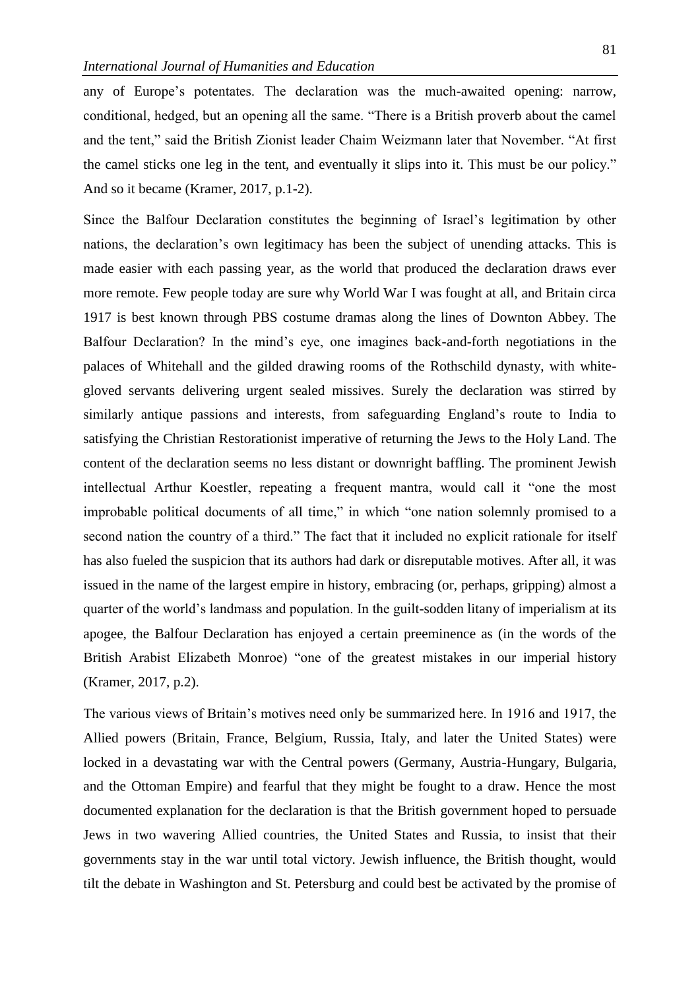any of Europe's potentates. The declaration was the much-awaited opening: narrow, conditional, hedged, but an opening all the same. "There is a British proverb about the camel and the tent," said the British Zionist leader Chaim Weizmann later that November. "At first the camel sticks one leg in the tent, and eventually it slips into it. This must be our policy." And so it became (Kramer, 2017, p.1-2).

Since the Balfour Declaration constitutes the beginning of Israel's legitimation by other nations, the declaration's own legitimacy has been the subject of unending attacks. This is made easier with each passing year, as the world that produced the declaration draws ever more remote. Few people today are sure why World War I was fought at all, and Britain circa 1917 is best known through PBS costume dramas along the lines of Downton Abbey. The Balfour Declaration? In the mind's eye, one imagines back-and-forth negotiations in the palaces of Whitehall and the gilded drawing rooms of the Rothschild dynasty, with whitegloved servants delivering urgent sealed missives. Surely the declaration was stirred by similarly antique passions and interests, from safeguarding England's route to India to satisfying the Christian Restorationist imperative of returning the Jews to the Holy Land. The content of the declaration seems no less distant or downright baffling. The prominent Jewish intellectual Arthur Koestler, repeating a frequent mantra, would call it "one the most improbable political documents of all time," in which "one nation solemnly promised to a second nation the country of a third." The fact that it included no explicit rationale for itself has also fueled the suspicion that its authors had dark or disreputable motives. After all, it was issued in the name of the largest empire in history, embracing (or, perhaps, gripping) almost a quarter of the world's landmass and population. In the guilt-sodden litany of imperialism at its apogee, the Balfour Declaration has enjoyed a certain preeminence as (in the words of the British Arabist Elizabeth Monroe) "one of the greatest mistakes in our imperial history (Kramer, 2017, p.2).

The various views of Britain's motives need only be summarized here. In 1916 and 1917, the Allied powers (Britain, France, Belgium, Russia, Italy, and later the United States) were locked in a devastating war with the Central powers (Germany, Austria-Hungary, Bulgaria, and the Ottoman Empire) and fearful that they might be fought to a draw. Hence the most documented explanation for the declaration is that the British government hoped to persuade Jews in two wavering Allied countries, the United States and Russia, to insist that their governments stay in the war until total victory. Jewish influence, the British thought, would tilt the debate in Washington and St. Petersburg and could best be activated by the promise of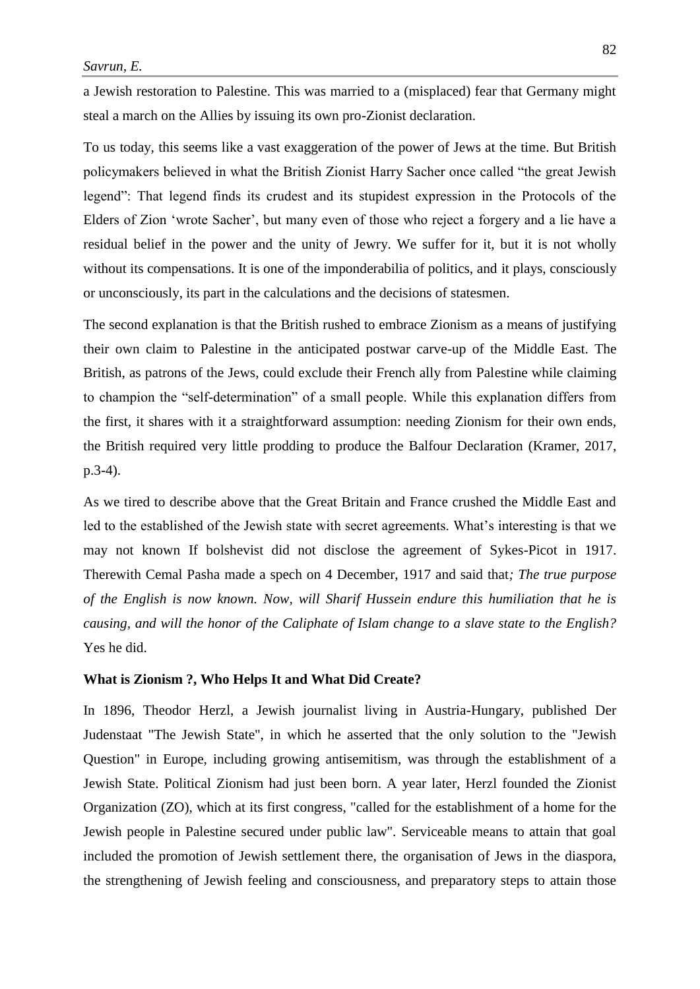a Jewish restoration to Palestine. This was married to a (misplaced) fear that Germany might steal a march on the Allies by issuing its own pro-Zionist declaration.

To us today, this seems like a vast exaggeration of the power of Jews at the time. But British policymakers believed in what the British Zionist Harry Sacher once called "the great Jewish legend": That legend finds its crudest and its stupidest expression in the Protocols of the Elders of Zion 'wrote Sacher', but many even of those who reject a forgery and a lie have a residual belief in the power and the unity of Jewry. We suffer for it, but it is not wholly without its compensations. It is one of the imponderabilia of politics, and it plays, consciously or unconsciously, its part in the calculations and the decisions of statesmen.

The second explanation is that the British rushed to embrace Zionism as a means of justifying their own claim to Palestine in the anticipated postwar carve-up of the Middle East. The British, as patrons of the Jews, could exclude their French ally from Palestine while claiming to champion the "self-determination" of a small people. While this explanation differs from the first, it shares with it a straightforward assumption: needing Zionism for their own ends, the British required very little prodding to produce the Balfour Declaration (Kramer, 2017, p.3-4).

As we tired to describe above that the Great Britain and France crushed the Middle East and led to the established of the Jewish state with secret agreements. What's interesting is that we may not known If bolshevist did not disclose the agreement of Sykes-Picot in 1917. Therewith Cemal Pasha made a spech on 4 December, 1917 and said that*; The true purpose of the English is now known. Now, will Sharif Hussein endure this humiliation that he is causing, and will the honor of the Caliphate of Islam change to a slave state to the English?*  Yes he did.

### **What is Zionism ?, Who Helps It and What Did Create?**

In 1896, Theodor Herzl, a Jewish journalist living in Austria-Hungary, published Der Judenstaat "The Jewish State", in which he asserted that the only solution to the "Jewish Question" in Europe, including growing antisemitism, was through the establishment of a Jewish State. Political Zionism had just been born. A year later, Herzl founded the Zionist Organization (ZO), which at its first congress, "called for the establishment of a home for the Jewish people in Palestine secured under public law". Serviceable means to attain that goal included the promotion of Jewish settlement there, the organisation of Jews in the diaspora, the strengthening of Jewish feeling and consciousness, and preparatory steps to attain those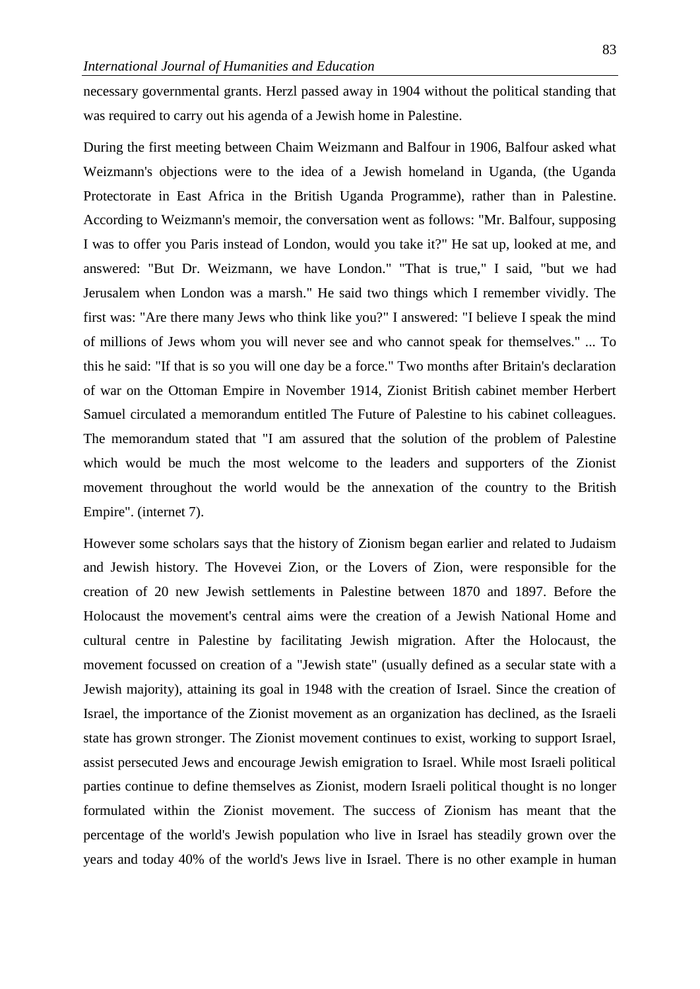necessary governmental grants. Herzl passed away in 1904 without the political standing that was required to carry out his agenda of a Jewish home in Palestine.

During the first meeting between Chaim Weizmann and Balfour in 1906, Balfour asked what Weizmann's objections were to the idea of a Jewish homeland in Uganda, (the Uganda Protectorate in East Africa in the British Uganda Programme), rather than in Palestine. According to Weizmann's memoir, the conversation went as follows: "Mr. Balfour, supposing I was to offer you Paris instead of London, would you take it?" He sat up, looked at me, and answered: "But Dr. Weizmann, we have London." "That is true," I said, "but we had Jerusalem when London was a marsh." He said two things which I remember vividly. The first was: "Are there many Jews who think like you?" I answered: "I believe I speak the mind of millions of Jews whom you will never see and who cannot speak for themselves." ... To this he said: "If that is so you will one day be a force." Two months after Britain's declaration of war on the Ottoman Empire in November 1914, Zionist British cabinet member Herbert Samuel circulated a memorandum entitled The Future of Palestine to his cabinet colleagues. The memorandum stated that "I am assured that the solution of the problem of Palestine which would be much the most welcome to the leaders and supporters of the Zionist movement throughout the world would be the annexation of the country to the British Empire". (internet 7).

However some scholars says that the history of Zionism began earlier and related to Judaism and Jewish history. The Hovevei Zion, or the Lovers of Zion, were responsible for the creation of 20 new Jewish settlements in Palestine between 1870 and 1897. Before the Holocaust the movement's central aims were the creation of a Jewish National Home and cultural centre in Palestine by facilitating Jewish migration. After the Holocaust, the movement focussed on creation of a "Jewish state" (usually defined as a secular state with a Jewish majority), attaining its goal in 1948 with the creation of Israel. Since the creation of Israel, the importance of the Zionist movement as an organization has declined, as the Israeli state has grown stronger. The Zionist movement continues to exist, working to support Israel, assist persecuted Jews and encourage Jewish emigration to Israel. While most Israeli political parties continue to define themselves as Zionist, modern Israeli political thought is no longer formulated within the Zionist movement. The success of Zionism has meant that the percentage of the world's Jewish population who live in Israel has steadily grown over the years and today 40% of the world's Jews live in Israel. There is no other example in human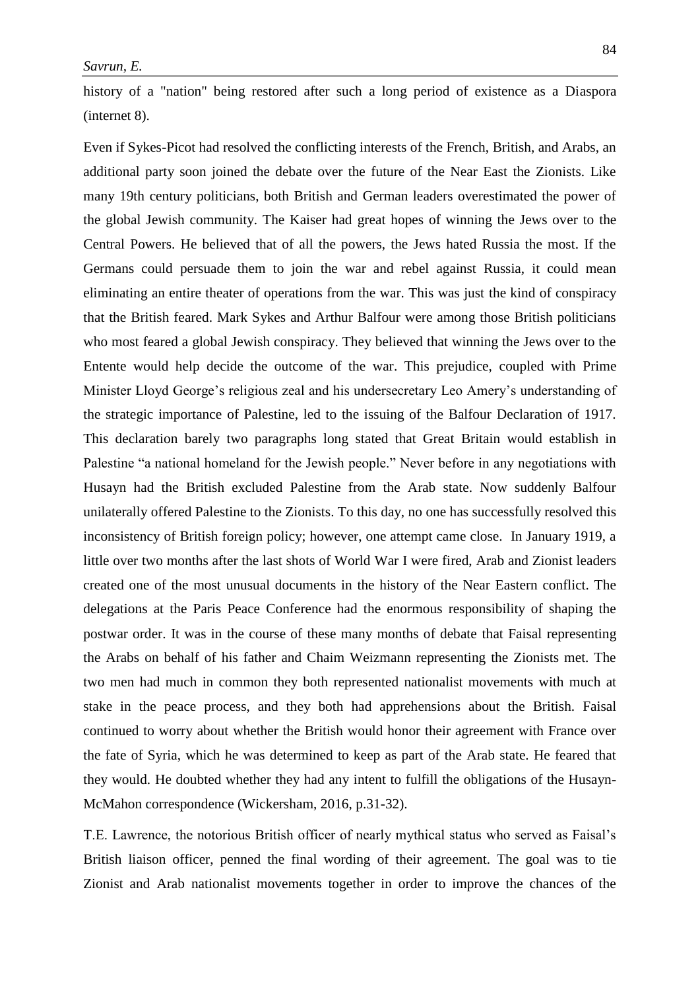history of a "nation" being restored after such a long period of existence as a Diaspora (internet 8).

Even if Sykes-Picot had resolved the conflicting interests of the French, British, and Arabs, an additional party soon joined the debate over the future of the Near East the Zionists. Like many 19th century politicians, both British and German leaders overestimated the power of the global Jewish community. The Kaiser had great hopes of winning the Jews over to the Central Powers. He believed that of all the powers, the Jews hated Russia the most. If the Germans could persuade them to join the war and rebel against Russia, it could mean eliminating an entire theater of operations from the war. This was just the kind of conspiracy that the British feared. Mark Sykes and Arthur Balfour were among those British politicians who most feared a global Jewish conspiracy. They believed that winning the Jews over to the Entente would help decide the outcome of the war. This prejudice, coupled with Prime Minister Lloyd George's religious zeal and his undersecretary Leo Amery's understanding of the strategic importance of Palestine, led to the issuing of the Balfour Declaration of 1917. This declaration barely two paragraphs long stated that Great Britain would establish in Palestine "a national homeland for the Jewish people." Never before in any negotiations with Husayn had the British excluded Palestine from the Arab state. Now suddenly Balfour unilaterally offered Palestine to the Zionists. To this day, no one has successfully resolved this inconsistency of British foreign policy; however, one attempt came close. In January 1919, a little over two months after the last shots of World War I were fired, Arab and Zionist leaders created one of the most unusual documents in the history of the Near Eastern conflict. The delegations at the Paris Peace Conference had the enormous responsibility of shaping the postwar order. It was in the course of these many months of debate that Faisal representing the Arabs on behalf of his father and Chaim Weizmann representing the Zionists met. The two men had much in common they both represented nationalist movements with much at stake in the peace process, and they both had apprehensions about the British. Faisal continued to worry about whether the British would honor their agreement with France over the fate of Syria, which he was determined to keep as part of the Arab state. He feared that they would. He doubted whether they had any intent to fulfill the obligations of the Husayn-McMahon correspondence (Wickersham, 2016, p.31-32).

T.E. Lawrence, the notorious British officer of nearly mythical status who served as Faisal's British liaison officer, penned the final wording of their agreement. The goal was to tie Zionist and Arab nationalist movements together in order to improve the chances of the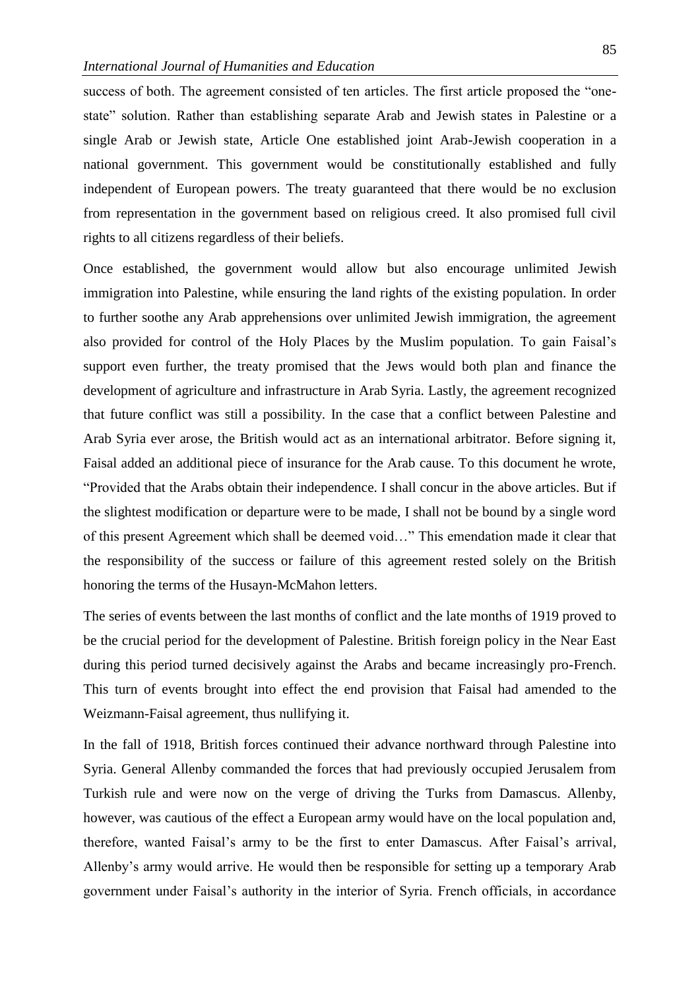success of both. The agreement consisted of ten articles. The first article proposed the "onestate" solution. Rather than establishing separate Arab and Jewish states in Palestine or a single Arab or Jewish state, Article One established joint Arab-Jewish cooperation in a national government. This government would be constitutionally established and fully independent of European powers. The treaty guaranteed that there would be no exclusion from representation in the government based on religious creed. It also promised full civil rights to all citizens regardless of their beliefs.

Once established, the government would allow but also encourage unlimited Jewish immigration into Palestine, while ensuring the land rights of the existing population. In order to further soothe any Arab apprehensions over unlimited Jewish immigration, the agreement also provided for control of the Holy Places by the Muslim population. To gain Faisal's support even further, the treaty promised that the Jews would both plan and finance the development of agriculture and infrastructure in Arab Syria. Lastly, the agreement recognized that future conflict was still a possibility. In the case that a conflict between Palestine and Arab Syria ever arose, the British would act as an international arbitrator. Before signing it, Faisal added an additional piece of insurance for the Arab cause. To this document he wrote, "Provided that the Arabs obtain their independence. I shall concur in the above articles. But if the slightest modification or departure were to be made, I shall not be bound by a single word of this present Agreement which shall be deemed void…" This emendation made it clear that the responsibility of the success or failure of this agreement rested solely on the British honoring the terms of the Husayn-McMahon letters.

The series of events between the last months of conflict and the late months of 1919 proved to be the crucial period for the development of Palestine. British foreign policy in the Near East during this period turned decisively against the Arabs and became increasingly pro-French. This turn of events brought into effect the end provision that Faisal had amended to the Weizmann-Faisal agreement, thus nullifying it.

In the fall of 1918, British forces continued their advance northward through Palestine into Syria. General Allenby commanded the forces that had previously occupied Jerusalem from Turkish rule and were now on the verge of driving the Turks from Damascus. Allenby, however, was cautious of the effect a European army would have on the local population and, therefore, wanted Faisal's army to be the first to enter Damascus. After Faisal's arrival, Allenby's army would arrive. He would then be responsible for setting up a temporary Arab government under Faisal's authority in the interior of Syria. French officials, in accordance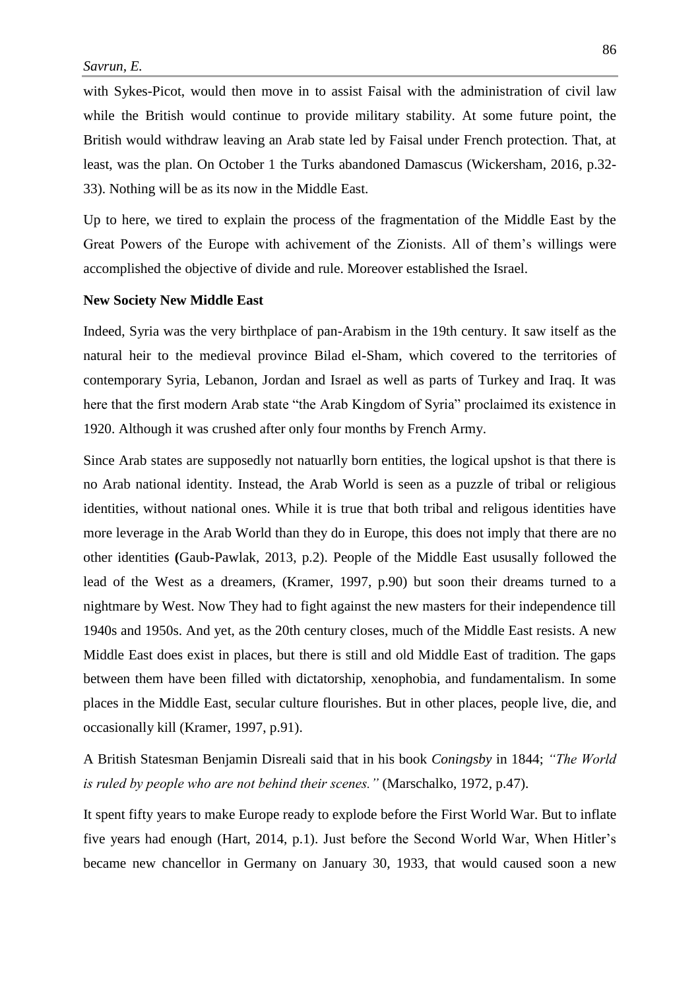with Sykes-Picot, would then move in to assist Faisal with the administration of civil law while the British would continue to provide military stability. At some future point, the British would withdraw leaving an Arab state led by Faisal under French protection. That, at least, was the plan. On October 1 the Turks abandoned Damascus (Wickersham, 2016, p.32- 33). Nothing will be as its now in the Middle East.

Up to here, we tired to explain the process of the fragmentation of the Middle East by the Great Powers of the Europe with achivement of the Zionists. All of them's willings were accomplished the objective of divide and rule. Moreover established the Israel.

#### **New Society New Middle East**

Indeed, Syria was the very birthplace of pan-Arabism in the 19th century. It saw itself as the natural heir to the medieval province Bilad el-Sham, which covered to the territories of contemporary Syria, Lebanon, Jordan and Israel as well as parts of Turkey and Iraq. It was here that the first modern Arab state "the Arab Kingdom of Syria" proclaimed its existence in 1920. Although it was crushed after only four months by French Army.

Since Arab states are supposedly not natuarlly born entities, the logical upshot is that there is no Arab national identity. Instead, the Arab World is seen as a puzzle of tribal or religious identities, without national ones. While it is true that both tribal and religous identities have more leverage in the Arab World than they do in Europe, this does not imply that there are no other identities **(**Gaub-Pawlak, 2013, p.2). People of the Middle East ususally followed the lead of the West as a dreamers, (Kramer, 1997, p.90) but soon their dreams turned to a nightmare by West. Now They had to fight against the new masters for their independence till 1940s and 1950s. And yet, as the 20th century closes, much of the Middle East resists. A new Middle East does exist in places, but there is still and old Middle East of tradition. The gaps between them have been filled with dictatorship, xenophobia, and fundamentalism. In some places in the Middle East, secular culture flourishes. But in other places, people live, die, and occasionally kill (Kramer, 1997, p.91).

A British Statesman Benjamin Disreali said that in his book *Coningsby* in 1844; *"The World is ruled by people who are not behind their scenes."* (Marschalko, 1972, p.47).

It spent fifty years to make Europe ready to explode before the First World War. But to inflate five years had enough (Hart, 2014, p.1). Just before the Second World War, When Hitler's became new chancellor in Germany on January 30, 1933, that would caused soon a new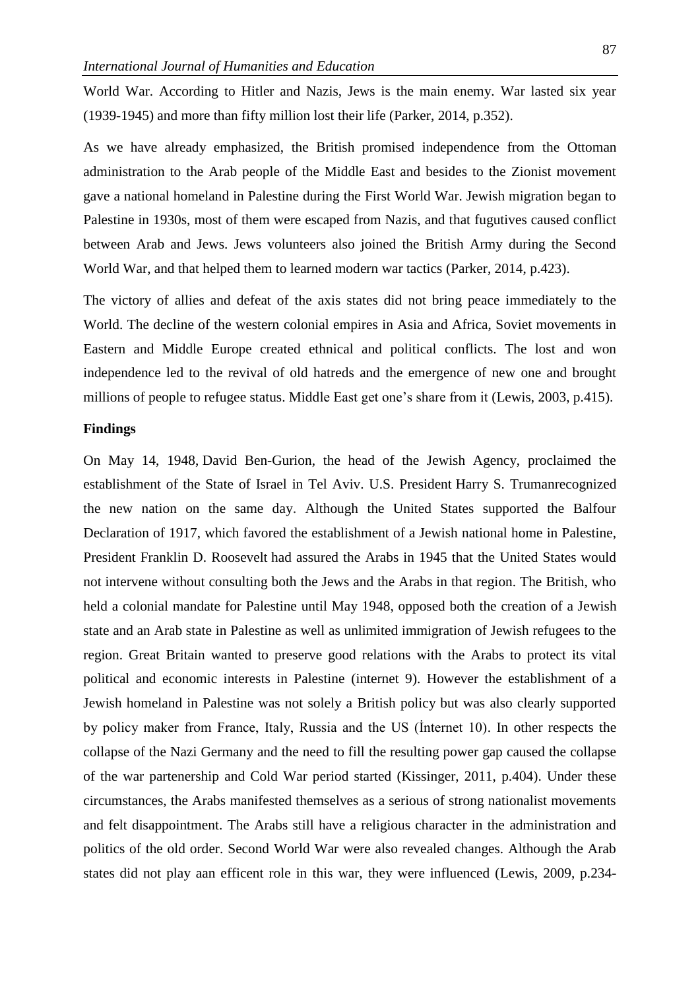World War. According to Hitler and Nazis, Jews is the main enemy. War lasted six year (1939-1945) and more than fifty million lost their life (Parker, 2014, p.352).

As we have already emphasized, the British promised independence from the Ottoman administration to the Arab people of the Middle East and besides to the Zionist movement gave a national homeland in Palestine during the First World War. Jewish migration began to Palestine in 1930s, most of them were escaped from Nazis, and that fugutives caused conflict between Arab and Jews. Jews volunteers also joined the British Army during the Second World War, and that helped them to learned modern war tactics (Parker, 2014, p.423).

The victory of allies and defeat of the axis states did not bring peace immediately to the World. The decline of the western colonial empires in Asia and Africa, Soviet movements in Eastern and Middle Europe created ethnical and political conflicts. The lost and won independence led to the revival of old hatreds and the emergence of new one and brought millions of people to refugee status. Middle East get one's share from it (Lewis, 2003, p.415).

#### **Findings**

On May 14, 1948, David Ben-Gurion, the head of the Jewish Agency, proclaimed the establishment of the State of Israel in Tel Aviv. U.S. President Harry S. Trumanrecognized the new nation on the same day. Although the United States supported the Balfour Declaration of 1917, which favored the establishment of a Jewish national home in Palestine, President Franklin D. Roosevelt had assured the Arabs in 1945 that the United States would not intervene without consulting both the Jews and the Arabs in that region. The British, who held a colonial mandate for Palestine until May 1948, opposed both the creation of a Jewish state and an Arab state in Palestine as well as unlimited immigration of Jewish refugees to the region. Great Britain wanted to preserve good relations with the Arabs to protect its vital political and economic interests in Palestine (internet 9). However the establishment of a Jewish homeland in Palestine was not solely a British policy but was also clearly supported by policy maker from France, Italy, Russia and the US (İnternet 10). In other respects the collapse of the Nazi Germany and the need to fill the resulting power gap caused the collapse of the war partenership and Cold War period started (Kissinger, 2011, p.404). Under these circumstances, the Arabs manifested themselves as a serious of strong nationalist movements and felt disappointment. The Arabs still have a religious character in the administration and politics of the old order. Second World War were also revealed changes. Although the Arab states did not play aan efficent role in this war, they were influenced (Lewis, 2009, p.234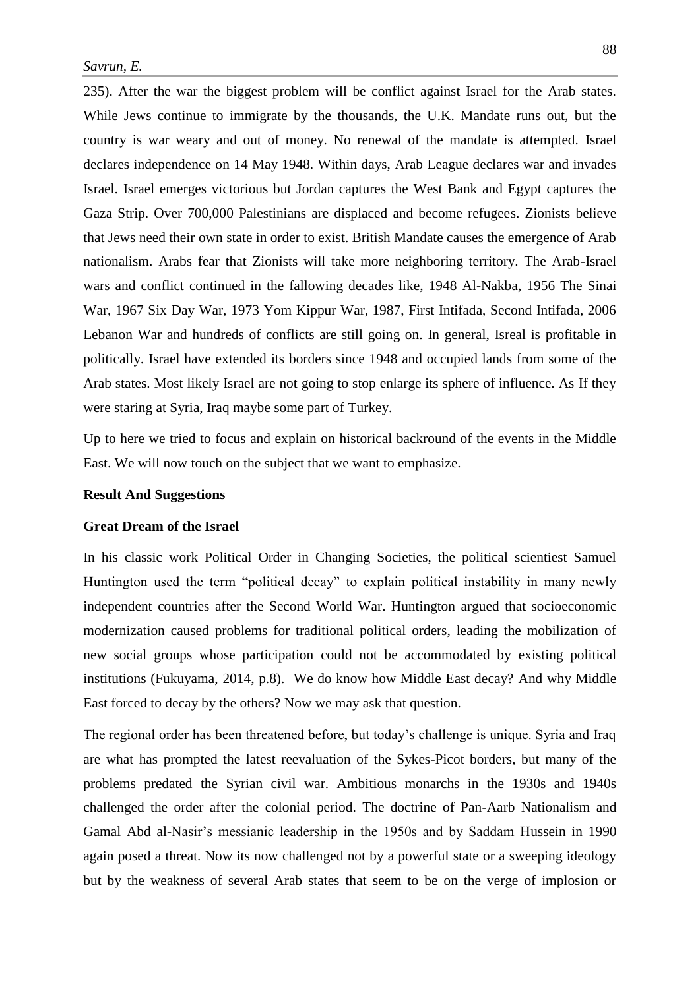235). After the war the biggest problem will be conflict against Israel for the Arab states. While Jews continue to immigrate by the thousands, the U.K. Mandate runs out, but the country is war weary and out of money. No renewal of the mandate is attempted. Israel declares independence on 14 May 1948. Within days, Arab League declares war and invades Israel. Israel emerges victorious but Jordan captures the West Bank and Egypt captures the Gaza Strip. Over 700,000 Palestinians are displaced and become refugees. Zionists believe that Jews need their own state in order to exist. British Mandate causes the emergence of Arab nationalism. Arabs fear that Zionists will take more neighboring territory. The Arab-Israel wars and conflict continued in the fallowing decades like, 1948 Al-Nakba, 1956 The Sinai War, 1967 Six Day War, 1973 Yom Kippur War, 1987, First Intifada, Second Intifada, 2006 Lebanon War and hundreds of conflicts are still going on. In general, Isreal is profitable in politically. Israel have extended its borders since 1948 and occupied lands from some of the Arab states. Most likely Israel are not going to stop enlarge its sphere of influence. As If they were staring at Syria, Iraq maybe some part of Turkey.

Up to here we tried to focus and explain on historical backround of the events in the Middle East. We will now touch on the subject that we want to emphasize.

### **Result And Suggestions**

#### **Great Dream of the Israel**

In his classic work Political Order in Changing Societies, the political scientiest Samuel Huntington used the term "political decay" to explain political instability in many newly independent countries after the Second World War. Huntington argued that socioeconomic modernization caused problems for traditional political orders, leading the mobilization of new social groups whose participation could not be accommodated by existing political institutions (Fukuyama, 2014, p.8). We do know how Middle East decay? And why Middle East forced to decay by the others? Now we may ask that question.

The regional order has been threatened before, but today's challenge is unique. Syria and Iraq are what has prompted the latest reevaluation of the Sykes-Picot borders, but many of the problems predated the Syrian civil war. Ambitious monarchs in the 1930s and 1940s challenged the order after the colonial period. The doctrine of Pan-Aarb Nationalism and Gamal Abd al-Nasir's messianic leadership in the 1950s and by Saddam Hussein in 1990 again posed a threat. Now its now challenged not by a powerful state or a sweeping ideology but by the weakness of several Arab states that seem to be on the verge of implosion or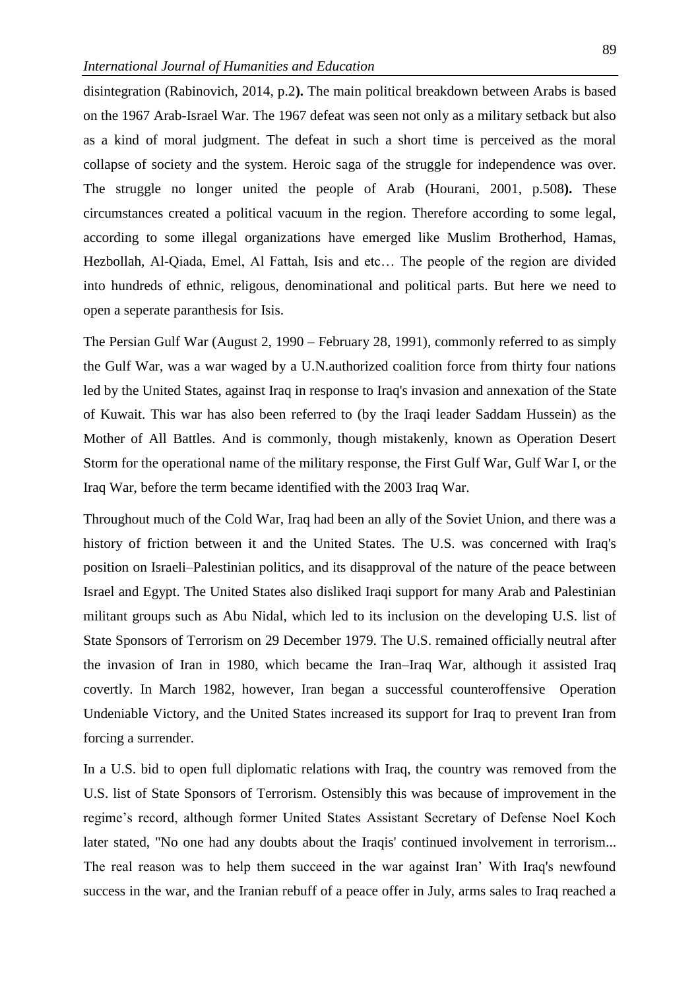disintegration (Rabinovich, 2014, p.2**).** The main political breakdown between Arabs is based on the 1967 Arab-Israel War. The 1967 defeat was seen not only as a military setback but also as a kind of moral judgment. The defeat in such a short time is perceived as the moral collapse of society and the system. Heroic saga of the struggle for independence was over. The struggle no longer united the people of Arab (Hourani, 2001, p.508**).** These circumstances created a political vacuum in the region. Therefore according to some legal, according to some illegal organizations have emerged like Muslim Brotherhod, Hamas, Hezbollah, Al-Qiada, Emel, Al Fattah, Isis and etc… The people of the region are divided into hundreds of ethnic, religous, denominational and political parts. But here we need to open a seperate paranthesis for Isis.

The Persian Gulf War (August 2, 1990 – February 28, 1991), commonly referred to as simply the Gulf War, was a war waged by a U.N.authorized coalition force from thirty four nations led by the United States, against Iraq in response to Iraq's invasion and annexation of the State of Kuwait. This war has also been referred to (by the Iraqi leader Saddam Hussein) as the Mother of All Battles. And is commonly, though mistakenly, known as Operation Desert Storm for the operational name of the military response, the First Gulf War, Gulf War I, or the Iraq War, before the term became identified with the 2003 Iraq War.

Throughout much of the Cold War, Iraq had been an ally of the Soviet Union, and there was a history of friction between it and the United States. The U.S. was concerned with Iraq's position on Israeli–Palestinian politics, and its disapproval of the nature of the peace between Israel and Egypt. The United States also disliked Iraqi support for many Arab and Palestinian militant groups such as Abu Nidal, which led to its inclusion on the developing U.S. list of State Sponsors of Terrorism on 29 December 1979. The U.S. remained officially neutral after the invasion of Iran in 1980, which became the Iran–Iraq War, although it assisted Iraq covertly. In March 1982, however, Iran began a successful counteroffensive Operation Undeniable Victory, and the United States increased its support for Iraq to prevent Iran from forcing a surrender.

In a U.S. bid to open full diplomatic relations with Iraq, the country was removed from the U.S. list of State Sponsors of Terrorism. Ostensibly this was because of improvement in the regime's record, although former United States Assistant Secretary of Defense Noel Koch later stated, "No one had any doubts about the Iraqis' continued involvement in terrorism... The real reason was to help them succeed in the war against Iran' With Iraq's newfound success in the war, and the Iranian rebuff of a peace offer in July, arms sales to Iraq reached a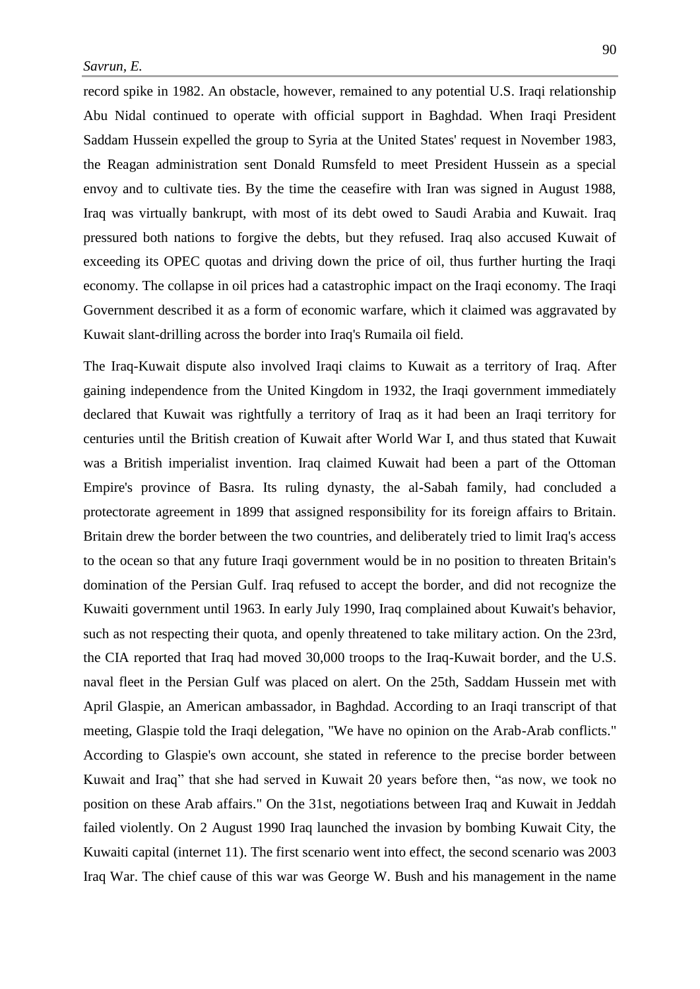record spike in 1982. An obstacle, however, remained to any potential U.S. Iraqi relationship Abu Nidal continued to operate with official support in Baghdad. When Iraqi President Saddam Hussein expelled the group to Syria at the United States' request in November 1983, the Reagan administration sent Donald Rumsfeld to meet President Hussein as a special envoy and to cultivate ties. By the time the ceasefire with Iran was signed in August 1988, Iraq was virtually bankrupt, with most of its debt owed to Saudi Arabia and Kuwait. Iraq pressured both nations to forgive the debts, but they refused. Iraq also accused Kuwait of exceeding its OPEC quotas and driving down the price of oil, thus further hurting the Iraqi economy. The collapse in oil prices had a catastrophic impact on the Iraqi economy. The Iraqi Government described it as a form of economic warfare, which it claimed was aggravated by Kuwait slant-drilling across the border into Iraq's Rumaila oil field.

The Iraq-Kuwait dispute also involved Iraqi claims to Kuwait as a territory of Iraq. After gaining independence from the United Kingdom in 1932, the Iraqi government immediately declared that Kuwait was rightfully a territory of Iraq as it had been an Iraqi territory for centuries until the British creation of Kuwait after World War I, and thus stated that Kuwait was a British imperialist invention. Iraq claimed Kuwait had been a part of the Ottoman Empire's province of Basra. Its ruling dynasty, the al-Sabah family, had concluded a protectorate agreement in 1899 that assigned responsibility for its foreign affairs to Britain. Britain drew the border between the two countries, and deliberately tried to limit Iraq's access to the ocean so that any future Iraqi government would be in no position to threaten Britain's domination of the Persian Gulf. Iraq refused to accept the border, and did not recognize the Kuwaiti government until 1963. In early July 1990, Iraq complained about Kuwait's behavior, such as not respecting their quota, and openly threatened to take military action. On the 23rd, the CIA reported that Iraq had moved 30,000 troops to the Iraq-Kuwait border, and the U.S. naval fleet in the Persian Gulf was placed on alert. On the 25th, Saddam Hussein met with April Glaspie, an American ambassador, in Baghdad. According to an Iraqi transcript of that meeting, Glaspie told the Iraqi delegation, "We have no opinion on the Arab-Arab conflicts." According to Glaspie's own account, she stated in reference to the precise border between Kuwait and Iraq" that she had served in Kuwait 20 years before then, "as now, we took no position on these Arab affairs." On the 31st, negotiations between Iraq and Kuwait in Jeddah failed violently. On 2 August 1990 Iraq launched the invasion by bombing Kuwait City, the Kuwaiti capital (internet 11). The first scenario went into effect, the second scenario was 2003 Iraq War. The chief cause of this war was George W. Bush and his management in the name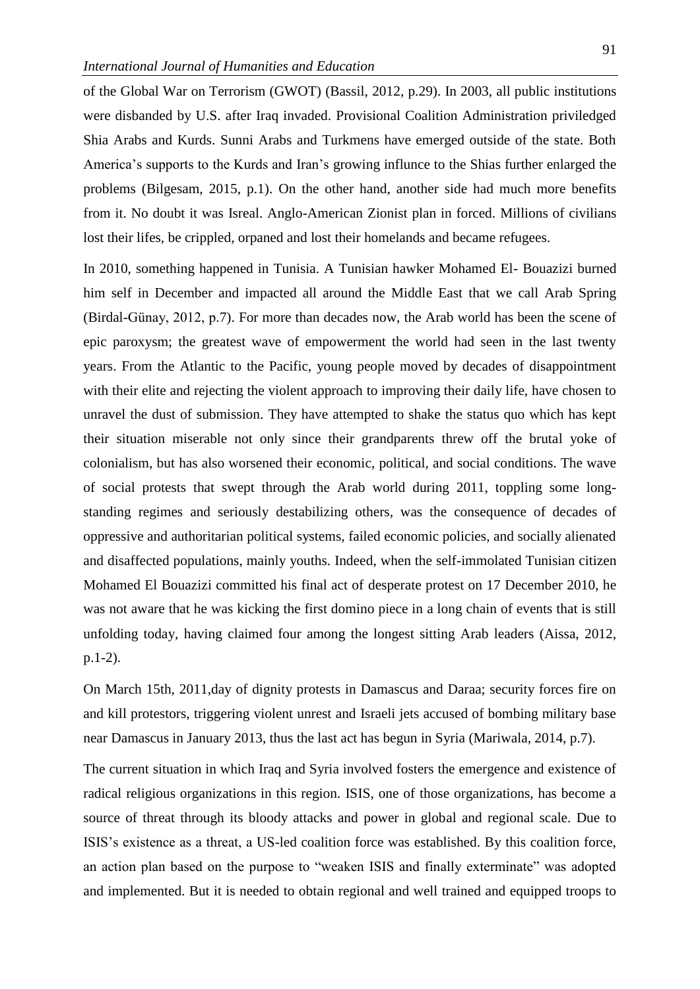of the Global War on Terrorism (GWOT) (Bassil, 2012, p.29). In 2003, all public institutions were disbanded by U.S. after Iraq invaded. Provisional Coalition Administration priviledged Shia Arabs and Kurds. Sunni Arabs and Turkmens have emerged outside of the state. Both America's supports to the Kurds and Iran's growing influnce to the Shias further enlarged the problems (Bilgesam, 2015, p.1). On the other hand, another side had much more benefits from it. No doubt it was Isreal. Anglo-American Zionist plan in forced. Millions of civilians lost their lifes, be crippled, orpaned and lost their homelands and became refugees.

In 2010, something happened in Tunisia. A Tunisian hawker Mohamed El- Bouazizi burned him self in December and impacted all around the Middle East that we call Arab Spring (Birdal-Günay, 2012, p.7). For more than decades now, the Arab world has been the scene of epic paroxysm; the greatest wave of empowerment the world had seen in the last twenty years. From the Atlantic to the Pacific, young people moved by decades of disappointment with their elite and rejecting the violent approach to improving their daily life, have chosen to unravel the dust of submission. They have attempted to shake the status quo which has kept their situation miserable not only since their grandparents threw off the brutal yoke of colonialism, but has also worsened their economic, political, and social conditions. The wave of social protests that swept through the Arab world during 2011, toppling some longstanding regimes and seriously destabilizing others, was the consequence of decades of oppressive and authoritarian political systems, failed economic policies, and socially alienated and disaffected populations, mainly youths. Indeed, when the self-immolated Tunisian citizen Mohamed El Bouazizi committed his final act of desperate protest on 17 December 2010, he was not aware that he was kicking the first domino piece in a long chain of events that is still unfolding today, having claimed four among the longest sitting Arab leaders (Aissa, 2012, p.1-2).

On March 15th, 2011,day of dignity protests in Damascus and Daraa; security forces fire on and kill protestors, triggering violent unrest and Israeli jets accused of bombing military base near Damascus in January 2013, thus the last act has begun in Syria (Mariwala, 2014, p.7).

The current situation in which Iraq and Syria involved fosters the emergence and existence of radical religious organizations in this region. ISIS, one of those organizations, has become a source of threat through its bloody attacks and power in global and regional scale. Due to ISIS's existence as a threat, a US-led coalition force was established. By this coalition force, an action plan based on the purpose to "weaken ISIS and finally exterminate" was adopted and implemented. But it is needed to obtain regional and well trained and equipped troops to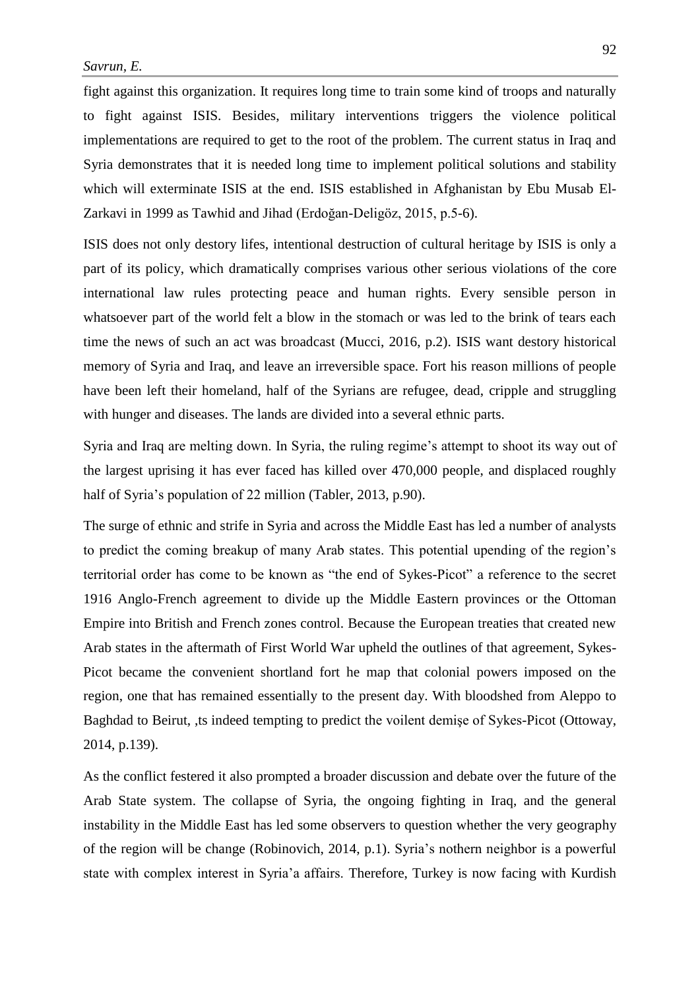fight against this organization. It requires long time to train some kind of troops and naturally to fight against ISIS. Besides, military interventions triggers the violence political implementations are required to get to the root of the problem. The current status in Iraq and Syria demonstrates that it is needed long time to implement political solutions and stability which will exterminate ISIS at the end. ISIS established in Afghanistan by Ebu Musab El-Zarkavi in 1999 as Tawhid and Jihad (Erdoğan-Deligöz, 2015, p.5-6).

ISIS does not only destory lifes, intentional destruction of cultural heritage by ISIS is only a part of its policy, which dramatically comprises various other serious violations of the core international law rules protecting peace and human rights. Every sensible person in whatsoever part of the world felt a blow in the stomach or was led to the brink of tears each time the news of such an act was broadcast (Mucci, 2016, p.2). ISIS want destory historical memory of Syria and Iraq, and leave an irreversible space. Fort his reason millions of people have been left their homeland, half of the Syrians are refugee, dead, cripple and struggling with hunger and diseases. The lands are divided into a several ethnic parts.

Syria and Iraq are melting down. In Syria, the ruling regime's attempt to shoot its way out of the largest uprising it has ever faced has killed over 470,000 people, and displaced roughly half of Syria's population of 22 million (Tabler, 2013, p.90).

The surge of ethnic and strife in Syria and across the Middle East has led a number of analysts to predict the coming breakup of many Arab states. This potential upending of the region's territorial order has come to be known as "the end of Sykes-Picot" a reference to the secret 1916 Anglo-French agreement to divide up the Middle Eastern provinces or the Ottoman Empire into British and French zones control. Because the European treaties that created new Arab states in the aftermath of First World War upheld the outlines of that agreement, Sykes-Picot became the convenient shortland fort he map that colonial powers imposed on the region, one that has remained essentially to the present day. With bloodshed from Aleppo to Baghdad to Beirut, ,ts indeed tempting to predict the voilent demişe of Sykes-Picot (Ottoway, 2014, p.139).

As the conflict festered it also prompted a broader discussion and debate over the future of the Arab State system. The collapse of Syria, the ongoing fighting in Iraq, and the general instability in the Middle East has led some observers to question whether the very geography of the region will be change (Robinovich, 2014, p.1). Syria's nothern neighbor is a powerful state with complex interest in Syria'a affairs. Therefore, Turkey is now facing with Kurdish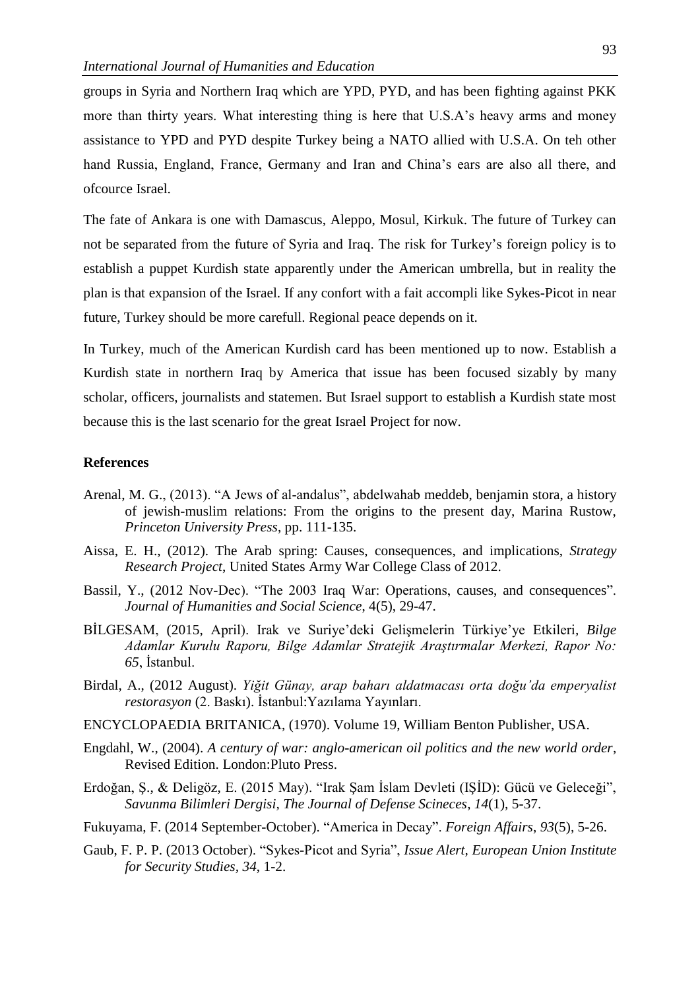groups in Syria and Northern Iraq which are YPD, PYD, and has been fighting against PKK more than thirty years. What interesting thing is here that U.S.A's heavy arms and money assistance to YPD and PYD despite Turkey being a NATO allied with U.S.A. On teh other hand Russia, England, France, Germany and Iran and China's ears are also all there, and ofcource Israel.

The fate of Ankara is one with Damascus, Aleppo, Mosul, Kirkuk. The future of Turkey can not be separated from the future of Syria and Iraq. The risk for Turkey's foreign policy is to establish a puppet Kurdish state apparently under the American umbrella, but in reality the plan is that expansion of the Israel. If any confort with a fait accompli like Sykes-Picot in near future, Turkey should be more carefull. Regional peace depends on it.

In Turkey, much of the American Kurdish card has been mentioned up to now. Establish a Kurdish state in northern Iraq by America that issue has been focused sizably by many scholar, officers, journalists and statemen. But Israel support to establish a Kurdish state most because this is the last scenario for the great Israel Project for now.

### **References**

- Arenal, M. G., (2013). "A Jews of al-andalus", abdelwahab meddeb, benjamin stora, a history of jewish-muslim relations: From the origins to the present day, Marina Rustow, *Princeton University Press*, pp. 111-135.
- Aissa, E. H., (2012). The Arab spring: Causes, consequences, and implications, *Strategy Research Project*, United States Army War College Class of 2012.
- Bassil, Y., (2012 Nov-Dec). "The 2003 Iraq War: Operations, causes, and consequences". *Journal of Humanities and Social Science*, 4(5), 29-47.
- BİLGESAM, (2015, April). Irak ve Suriye'deki Gelişmelerin Türkiye'ye Etkileri*, Bilge Adamlar Kurulu Raporu, Bilge Adamlar Stratejik Araştırmalar Merkezi, Rapor No: 65*, İstanbul.
- Birdal, A., (2012 August). *Yiğit Günay, arap baharı aldatmacası orta doğu'da emperyalist restorasyon* (2. Baskı). İstanbul:Yazılama Yayınları.
- ENCYCLOPAEDIA BRITANICA, (1970). Volume 19, William Benton Publisher, USA.
- Engdahl, W., (2004). *A century of war: anglo-american oil politics and the new world order*, Revised Edition. London:Pluto Press.
- Erdoğan, Ş., & Deligöz, E. (2015 May). "Irak Şam İslam Devleti (IŞİD): Gücü ve Geleceği", *Savunma Bilimleri Dergisi, The Journal of Defense Scineces*, *14*(1), 5-37.
- Fukuyama, F. (2014 September-October). "America in Decay". *Foreign Affairs*, *93*(5), 5-26.
- Gaub, F. P. P. (2013 October). "Sykes-Picot and Syria", *Issue Alert, European Union Institute for Security Studies, 34*, 1-2.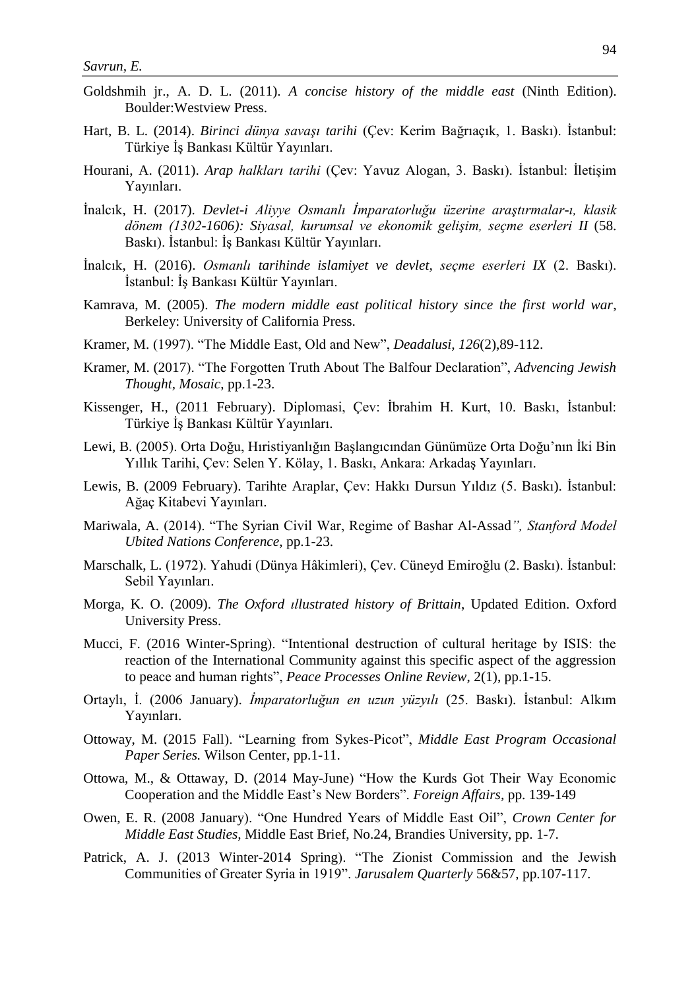- Goldshmih jr., A. D. L. (2011). *A concise history of the middle east* (Ninth Edition). Boulder:Westview Press.
- Hart, B. L. (2014). *Birinci dünya savaşı tarihi* (Çev: Kerim Bağrıaçık, 1. Baskı). İstanbul: Türkiye İş Bankası Kültür Yayınları.
- Hourani, A. (2011). *Arap halkları tarihi* (Çev: Yavuz Alogan, 3. Baskı). İstanbul: İletişim Yayınları.
- İnalcık, H. (2017). *Devlet-i Aliyye Osmanlı İmparatorluğu üzerine araştırmalar-ı, klasik dönem (1302-1606): Siyasal, kurumsal ve ekonomik gelişim, seçme eserleri II* (58. Baskı). İstanbul: İş Bankası Kültür Yayınları.
- İnalcık, H. (2016). *Osmanlı tarihinde islamiyet ve devlet, seçme eserleri IX* (2. Baskı). İstanbul: İş Bankası Kültür Yayınları.
- Kamrava, M. (2005). *The modern middle east political history since the first world war*, Berkeley: University of California Press.
- Kramer, M. (1997). "The Middle East, Old and New", *Deadalusi, 126*(2),89-112.
- Kramer, M. (2017). "The Forgotten Truth About The Balfour Declaration", *Advencing Jewish Thought, Mosaic*, pp.1-23.
- Kissenger, H., (2011 February). Diplomasi, Çev: İbrahim H. Kurt, 10. Baskı, İstanbul: Türkiye İş Bankası Kültür Yayınları.
- Lewi, B. (2005). Orta Doğu, Hıristiyanlığın Başlangıcından Günümüze Orta Doğu'nın İki Bin Yıllık Tarihi, Çev: Selen Y. Kölay, 1. Baskı, Ankara: Arkadaş Yayınları.
- Lewis, B. (2009 February). Tarihte Araplar, Çev: Hakkı Dursun Yıldız (5. Baskı). İstanbul: Ağaç Kitabevi Yayınları.
- Mariwala, A. (2014). "The Syrian Civil War, Regime of Bashar Al-Assad*", Stanford Model Ubited Nations Conference*, pp.1-23.
- Marschalk, L. (1972). Yahudi (Dünya Hâkimleri), Çev. Cüneyd Emiroğlu (2. Baskı). İstanbul: Sebil Yayınları.
- Morga, K. O. (2009). *The Oxford ıllustrated history of Brittain*, Updated Edition. Oxford University Press.
- Mucci, F. (2016 Winter-Spring). "Intentional destruction of cultural heritage by ISIS: the reaction of the International Community against this specific aspect of the aggression to peace and human rights", *Peace Processes Online Review*, 2(1), pp.1-15.
- Ortaylı, İ. (2006 January). *İmparatorluğun en uzun yüzyılı* (25. Baskı). İstanbul: Alkım Yayınları.
- Ottoway, M. (2015 Fall). "Learning from Sykes-Picot", *Middle East Program Occasional Paper Series.* Wilson Center, pp.1-11.
- Ottowa, M., & Ottaway, D. (2014 May-June) "How the Kurds Got Their Way Economic Cooperation and the Middle East's New Borders". *Foreign Affairs,* pp. 139-149
- Owen, E. R. (2008 January). "One Hundred Years of Middle East Oil", *Crown Center for Middle East Studies,* Middle East Brief, No.24, Brandies University, pp. 1-7.
- Patrick, A. J. (2013 Winter-2014 Spring). "The Zionist Commission and the Jewish Communities of Greater Syria in 1919". *Jarusalem Quarterly* 56&57, pp.107-117.